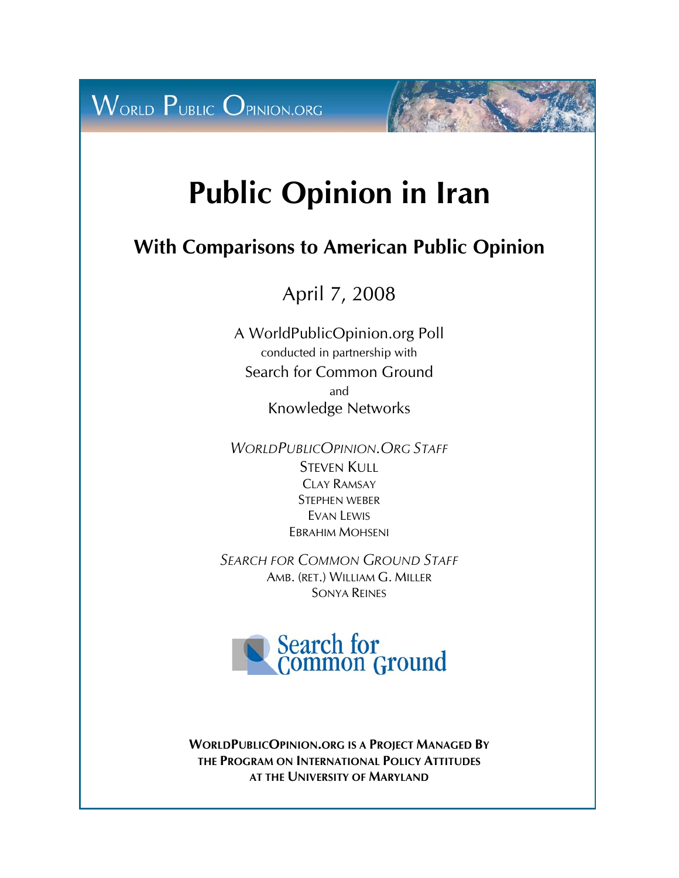

# **Public Opinion in Iran**

# **With Comparisons to American Public Opinion**

April 7, 2008

A WorldPublicOpinion.org Poll conducted in partnership with Search for Common Ground and Knowledge Networks

*WORLDPUBLICOPINION.ORG STAFF* STEVEN KULL CLAY RAMSAY STEPHEN WEBER EVAN LEWIS EBRAHIM MOHSENI

*SEARCH FOR COMMON GROUND STAFF* AMB. (RET.) WILLIAM G. MILLER SONYA REINES



**WORLDPUBLICOPINION.ORG IS A PROJECT MANAGED BY THE PROGRAM ON INTERNATIONAL POLICY ATTITUDES AT THE UNIVERSITY OF MARYLAND**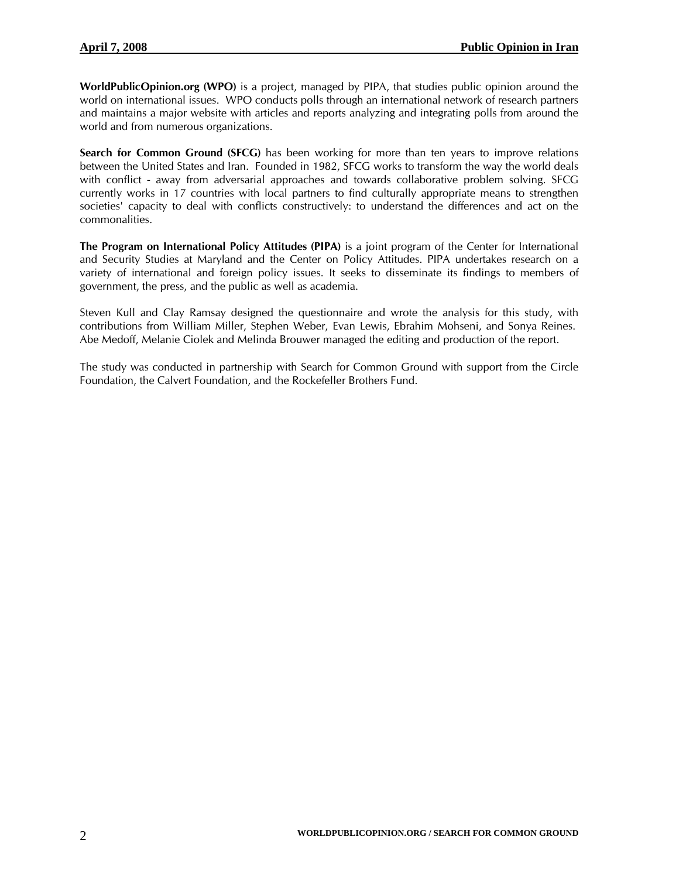**WorldPublicOpinion.org (WPO)** is a project, managed by PIPA, that studies public opinion around the world on international issues. WPO conducts polls through an international network of research partners and maintains a major website with articles and reports analyzing and integrating polls from around the world and from numerous organizations.

**Search for Common Ground (SFCG)** has been working for more than ten years to improve relations between the United States and Iran. Founded in 1982, SFCG works to transform the way the world deals with conflict - away from adversarial approaches and towards collaborative problem solving. SFCG currently works in 17 countries with local partners to find culturally appropriate means to strengthen societies' capacity to deal with conflicts constructively: to understand the differences and act on the commonalities.

**The Program on International Policy Attitudes (PIPA)** is a joint program of the Center for International and Security Studies at Maryland and the Center on Policy Attitudes. PIPA undertakes research on a variety of international and foreign policy issues. It seeks to disseminate its findings to members of government, the press, and the public as well as academia.

Steven Kull and Clay Ramsay designed the questionnaire and wrote the analysis for this study, with contributions from William Miller, Stephen Weber, Evan Lewis, Ebrahim Mohseni, and Sonya Reines. Abe Medoff, Melanie Ciolek and Melinda Brouwer managed the editing and production of the report.

The study was conducted in partnership with Search for Common Ground with support from the Circle Foundation, the Calvert Foundation, and the Rockefeller Brothers Fund.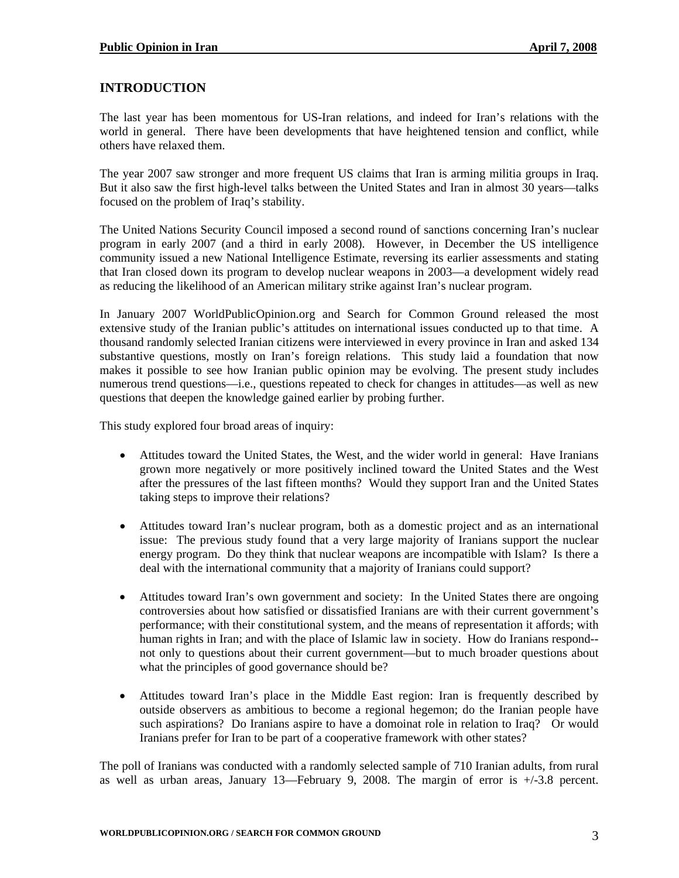### **INTRODUCTION**

The last year has been momentous for US-Iran relations, and indeed for Iran's relations with the world in general. There have been developments that have heightened tension and conflict, while others have relaxed them.

The year 2007 saw stronger and more frequent US claims that Iran is arming militia groups in Iraq. But it also saw the first high-level talks between the United States and Iran in almost 30 years—talks focused on the problem of Iraq's stability.

The United Nations Security Council imposed a second round of sanctions concerning Iran's nuclear program in early 2007 (and a third in early 2008). However, in December the US intelligence community issued a new National Intelligence Estimate, reversing its earlier assessments and stating that Iran closed down its program to develop nuclear weapons in 2003—a development widely read as reducing the likelihood of an American military strike against Iran's nuclear program.

In January 2007 WorldPublicOpinion.org and Search for Common Ground released the most extensive study of the Iranian public's attitudes on international issues conducted up to that time. A thousand randomly selected Iranian citizens were interviewed in every province in Iran and asked 134 substantive questions, mostly on Iran's foreign relations. This study laid a foundation that now makes it possible to see how Iranian public opinion may be evolving. The present study includes numerous trend questions—i.e., questions repeated to check for changes in attitudes—as well as new questions that deepen the knowledge gained earlier by probing further.

This study explored four broad areas of inquiry:

- Attitudes toward the United States, the West, and the wider world in general: Have Iranians grown more negatively or more positively inclined toward the United States and the West after the pressures of the last fifteen months? Would they support Iran and the United States taking steps to improve their relations?
- Attitudes toward Iran's nuclear program, both as a domestic project and as an international issue: The previous study found that a very large majority of Iranians support the nuclear energy program. Do they think that nuclear weapons are incompatible with Islam? Is there a deal with the international community that a majority of Iranians could support?
- Attitudes toward Iran's own government and society: In the United States there are ongoing controversies about how satisfied or dissatisfied Iranians are with their current government's performance; with their constitutional system, and the means of representation it affords; with human rights in Iran; and with the place of Islamic law in society. How do Iranians respond- not only to questions about their current government—but to much broader questions about what the principles of good governance should be?
- Attitudes toward Iran's place in the Middle East region: Iran is frequently described by outside observers as ambitious to become a regional hegemon; do the Iranian people have such aspirations? Do Iranians aspire to have a domoinat role in relation to Iraq? Or would Iranians prefer for Iran to be part of a cooperative framework with other states?

The poll of Iranians was conducted with a randomly selected sample of 710 Iranian adults, from rural as well as urban areas, January 13—February 9, 2008. The margin of error is +/-3.8 percent.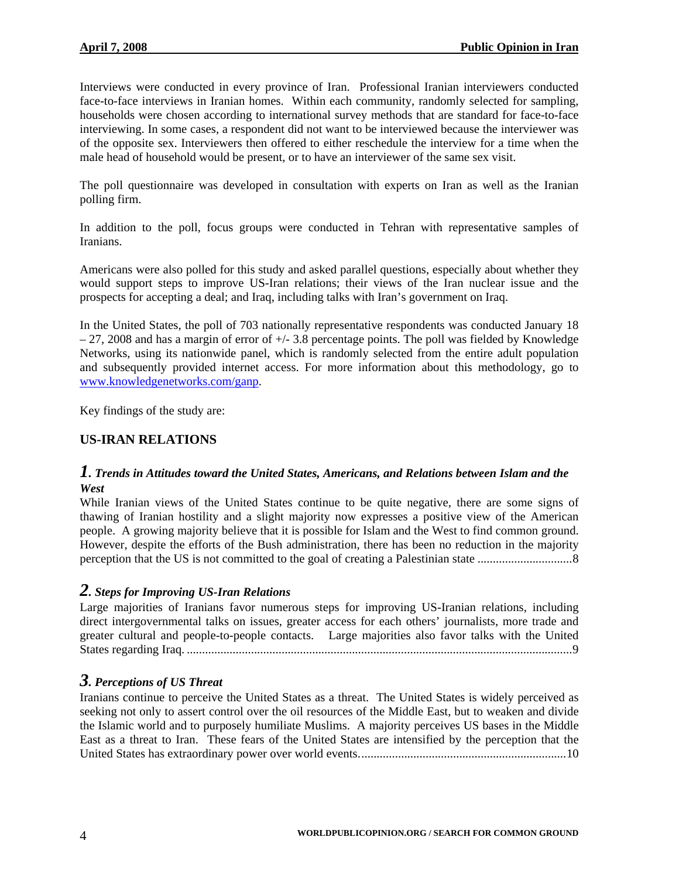Interviews were conducted in every province of Iran. Professional Iranian interviewers conducted face-to-face interviews in Iranian homes. Within each community, randomly selected for sampling, households were chosen according to international survey methods that are standard for face-to-face interviewing. In some cases, a respondent did not want to be interviewed because the interviewer was of the opposite sex. Interviewers then offered to either reschedule the interview for a time when the male head of household would be present, or to have an interviewer of the same sex visit.

The poll questionnaire was developed in consultation with experts on Iran as well as the Iranian polling firm.

In addition to the poll, focus groups were conducted in Tehran with representative samples of Iranians.

Americans were also polled for this study and asked parallel questions, especially about whether they would support steps to improve US-Iran relations; their views of the Iran nuclear issue and the prospects for accepting a deal; and Iraq, including talks with Iran's government on Iraq.

In the United States, the poll of 703 nationally representative respondents was conducted January 18  $-27$ , 2008 and has a margin of error of  $+/- 3.8$  percentage points. The poll was fielded by Knowledge Networks, using its nationwide panel, which is randomly selected from the entire adult population and subsequently provided internet access. For more information about this methodology, go to [www.knowledgenetworks.com/ganp](http://www.knowledgenetworks.com/ganp).

Key findings of the study are:

#### **US-IRAN RELATIONS**

#### *1. Trends in Attitudes toward the United States, Americans, and Relations between Islam and the West*

While Iranian views of the United States continue to be quite negative, there are some signs of thawing of Iranian hostility and a slight majority now expresses a positive view of the American people. A growing majority believe that it is possible for Islam and the West to find common ground. However, despite the efforts of the Bush administration, there has been no reduction in the majority perception that the US is not committed to the goal of creating a Palestinian state ...............................8

#### *2. Steps for Improving US-Iran Relations*

Large majorities of Iranians favor numerous steps for improving US-Iranian relations, including direct intergovernmental talks on issues, greater access for each others' journalists, more trade and greater cultural and people-to-people contacts. Large majorities also favor talks with the United States regarding Iraq. ..............................................................................................................................9

#### *3. Perceptions of US Threat*

Iranians continue to perceive the United States as a threat. The United States is widely perceived as seeking not only to assert control over the oil resources of the Middle East, but to weaken and divide the Islamic world and to purposely humiliate Muslims. A majority perceives US bases in the Middle East as a threat to Iran. These fears of the United States are intensified by the perception that the United States has extraordinary power over world events....................................................................10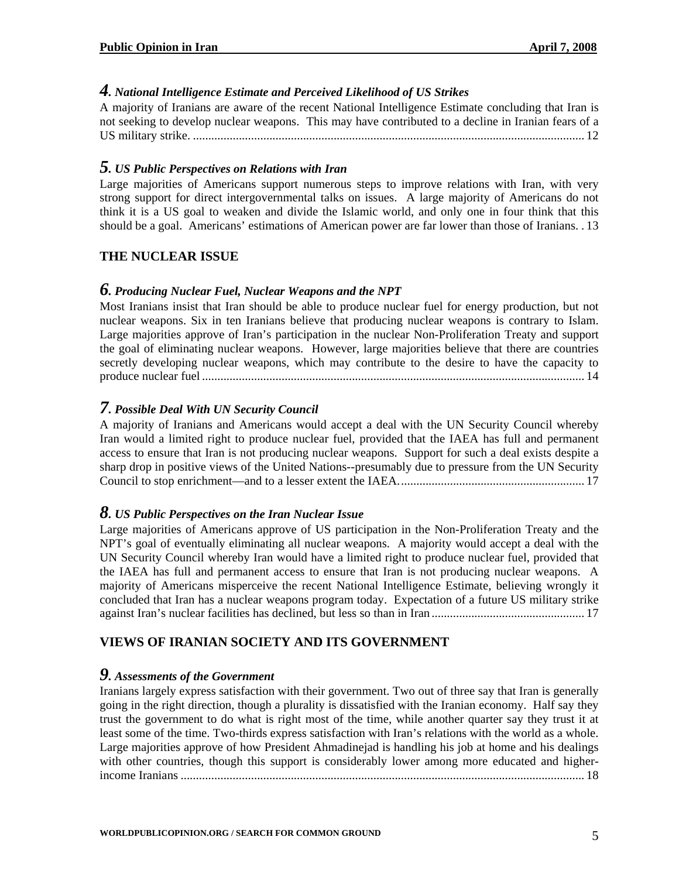## *4. National Intelligence Estimate and Perceived Likelihood of US Strikes*

A majority of Iranians are aware of the recent National Intelligence Estimate concluding that Iran is not seeking to develop nuclear weapons. This may have contributed to a decline in Iranian fears of a US military strike. ................................................................................................................................ 12

#### *5. US Public Perspectives on Relations with Iran*

Large majorities of Americans support numerous steps to improve relations with Iran, with very strong support for direct intergovernmental talks on issues. A large majority of Americans do not think it is a US goal to weaken and divide the Islamic world, and only one in four think that this should be a goal. Americans' estimations of American power are far lower than those of Iranians. . 13

#### **THE NUCLEAR ISSUE**

#### *6. Producing Nuclear Fuel, Nuclear Weapons and the NPT*

Most Iranians insist that Iran should be able to produce nuclear fuel for energy production, but not nuclear weapons. Six in ten Iranians believe that producing nuclear weapons is contrary to Islam. Large majorities approve of Iran's participation in the nuclear Non-Proliferation Treaty and support the goal of eliminating nuclear weapons. However, large majorities believe that there are countries secretly developing nuclear weapons, which may contribute to the desire to have the capacity to produce nuclear fuel ............................................................................................................................. 14

#### *7. Possible Deal With UN Security Council*

A majority of Iranians and Americans would accept a deal with the UN Security Council whereby Iran would a limited right to produce nuclear fuel, provided that the IAEA has full and permanent access to ensure that Iran is not producing nuclear weapons. Support for such a deal exists despite a sharp drop in positive views of the United Nations--presumably due to pressure from the UN Security Council to stop enrichment—and to a lesser extent the IAEA............................................................. 17

#### *8. US Public Perspectives on the Iran Nuclear Issue*

Large majorities of Americans approve of US participation in the Non-Proliferation Treaty and the NPT's goal of eventually eliminating all nuclear weapons. A majority would accept a deal with the UN Security Council whereby Iran would have a limited right to produce nuclear fuel, provided that the IAEA has full and permanent access to ensure that Iran is not producing nuclear weapons. A majority of Americans misperceive the recent National Intelligence Estimate, believing wrongly it concluded that Iran has a nuclear weapons program today. Expectation of a future US military strike against Iran's nuclear facilities has declined, but less so than in Iran .................................................. 17

#### **VIEWS OF IRANIAN SOCIETY AND ITS GOVERNMENT**

#### *9. Assessments of the Government*

Iranians largely express satisfaction with their government. Two out of three say that Iran is generally going in the right direction, though a plurality is dissatisfied with the Iranian economy. Half say they trust the government to do what is right most of the time, while another quarter say they trust it at least some of the time. Two-thirds express satisfaction with Iran's relations with the world as a whole. Large majorities approve of how President Ahmadinejad is handling his job at home and his dealings with other countries, though this support is considerably lower among more educated and higherincome Iranians .................................................................................................................................... 18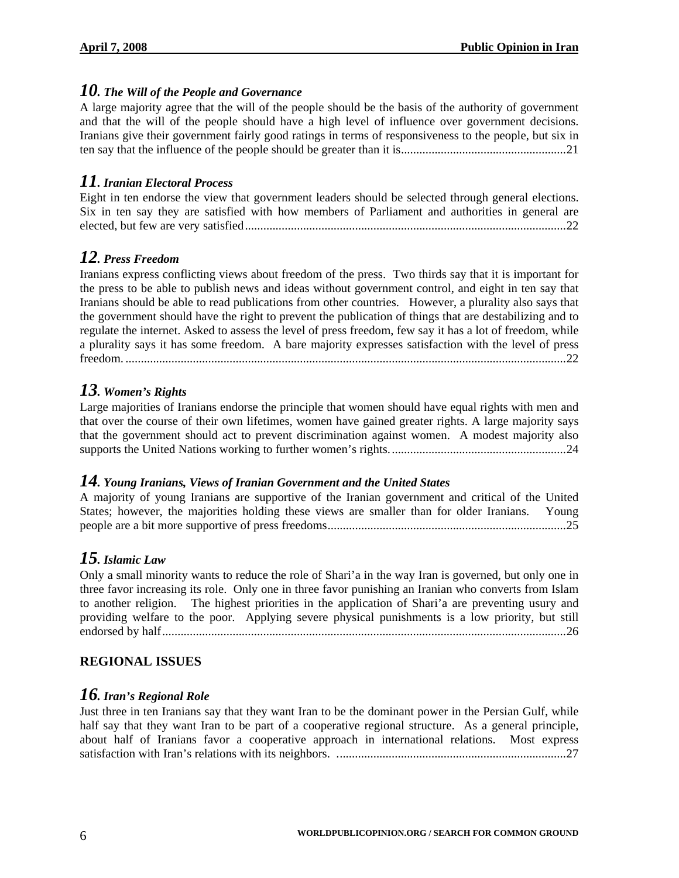#### *10. The Will of the People and Governance*

A large majority agree that the will of the people should be the basis of the authority of government and that the will of the people should have a high level of influence over government decisions. Iranians give their government fairly good ratings in terms of responsiveness to the people, but six in ten say that the influence of the people should be greater than it is......................................................21

# *11. Iranian Electoral Process*

Eight in ten endorse the view that government leaders should be selected through general elections. Six in ten say they are satisfied with how members of Parliament and authorities in general are elected, but few are very satisfied.........................................................................................................22

# *12. Press Freedom*

Iranians express conflicting views about freedom of the press. Two thirds say that it is important for the press to be able to publish news and ideas without government control, and eight in ten say that Iranians should be able to read publications from other countries. However, a plurality also says that the government should have the right to prevent the publication of things that are destabilizing and to regulate the internet. Asked to assess the level of press freedom, few say it has a lot of freedom, while a plurality says it has some freedom. A bare majority expresses satisfaction with the level of press freedom. ................................................................................................................................................22

# *13. Women's Rights*

Large majorities of Iranians endorse the principle that women should have equal rights with men and that over the course of their own lifetimes, women have gained greater rights. A large majority says that the government should act to prevent discrimination against women. A modest majority also supports the United Nations working to further women's rights..........................................................24

#### *14. Young Iranians, Views of Iranian Government and the United States*

A majority of young Iranians are supportive of the Iranian government and critical of the United States; however, the majorities holding these views are smaller than for older Iranians. Young people are a bit more supportive of press freedoms..............................................................................25

# *15. Islamic Law*

Only a small minority wants to reduce the role of Shari'a in the way Iran is governed, but only one in three favor increasing its role. Only one in three favor punishing an Iranian who converts from Islam to another religion. The highest priorities in the application of Shari'a are preventing usury and providing welfare to the poor. Applying severe physical punishments is a low priority, but still endorsed by half....................................................................................................................................26

#### **REGIONAL ISSUES**

#### *16. Iran's Regional Role*

Just three in ten Iranians say that they want Iran to be the dominant power in the Persian Gulf, while half say that they want Iran to be part of a cooperative regional structure. As a general principle, about half of Iranians favor a cooperative approach in international relations. Most express satisfaction with Iran's relations with its neighbors. ...........................................................................27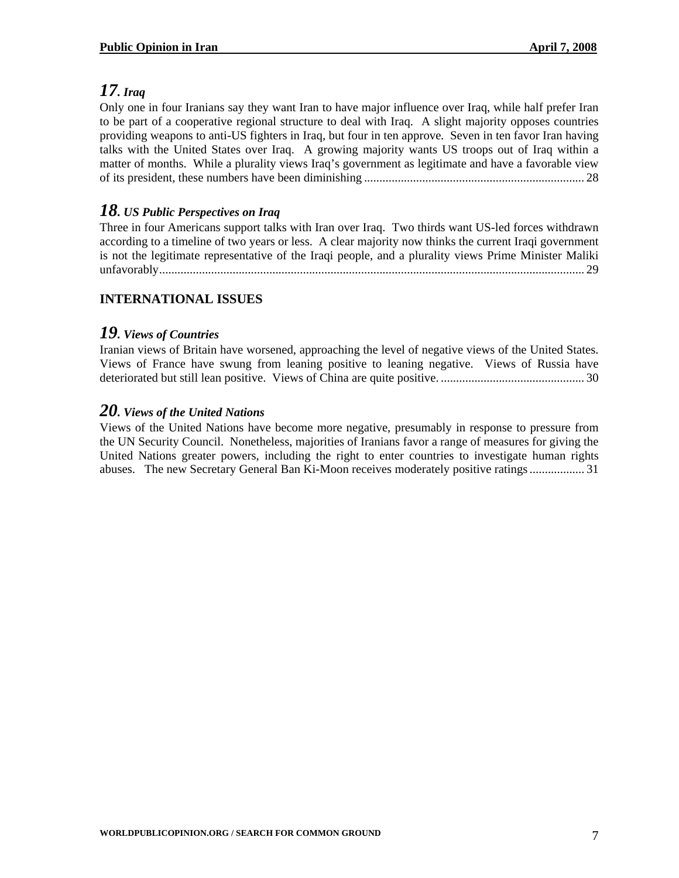# *17. Iraq*

Only one in four Iranians say they want Iran to have major influence over Iraq, while half prefer Iran to be part of a cooperative regional structure to deal with Iraq. A slight majority opposes countries providing weapons to anti-US fighters in Iraq, but four in ten approve. Seven in ten favor Iran having talks with the United States over Iraq. A growing majority wants US troops out of Iraq within a matter of months. While a plurality views Iraq's government as legitimate and have a favorable view of its president, these numbers have been diminishing ........................................................................ 28

# *18. US Public Perspectives on Iraq*

Three in four Americans support talks with Iran over Iraq. Two thirds want US-led forces withdrawn according to a timeline of two years or less. A clear majority now thinks the current Iraqi government is not the legitimate representative of the Iraqi people, and a plurality views Prime Minister Maliki unfavorably........................................................................................................................................... 29

# **INTERNATIONAL ISSUES**

# *19. Views of Countries*

Iranian views of Britain have worsened, approaching the level of negative views of the United States. Views of France have swung from leaning positive to leaning negative. Views of Russia have deteriorated but still lean positive. Views of China are quite positive. ............................................... 30

#### *20. Views of the United Nations*

Views of the United Nations have become more negative, presumably in response to pressure from the UN Security Council. Nonetheless, majorities of Iranians favor a range of measures for giving the United Nations greater powers, including the right to enter countries to investigate human rights abuses. The new Secretary General Ban Ki-Moon receives moderately positive ratings .................. 31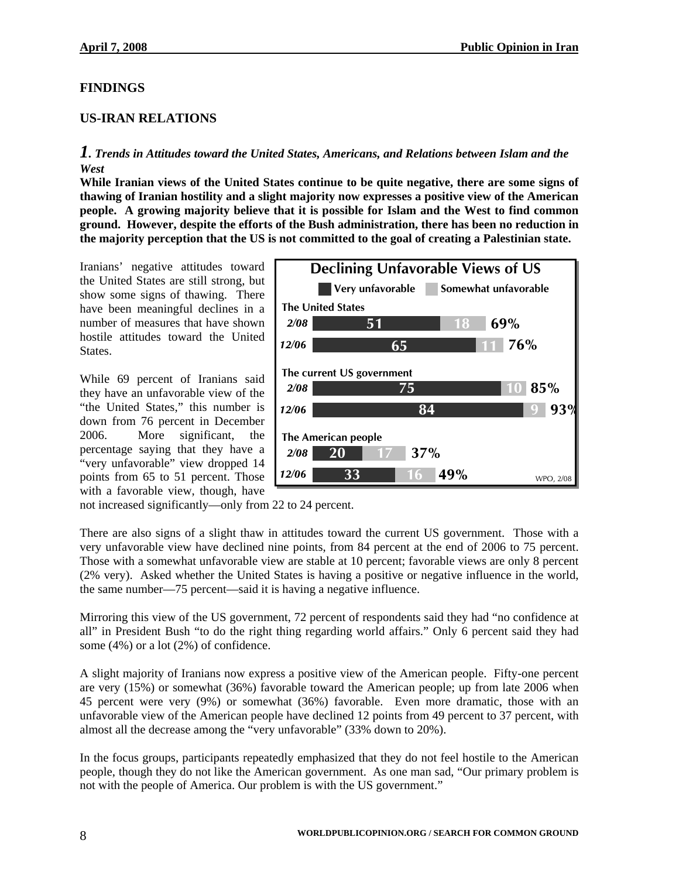#### **FINDINGS**

#### **US-IRAN RELATIONS**

#### *1. Trends in Attitudes toward the United States, Americans, and Relations between Islam and the West*

**While Iranian views of the United States continue to be quite negative, there are some signs of thawing of Iranian hostility and a slight majority now expresses a positive view of the American people. A growing majority believe that it is possible for Islam and the West to find common ground. However, despite the efforts of the Bush administration, there has been no reduction in the majority perception that the US is not committed to the goal of creating a Palestinian state.** 

Iranians' negative attitudes toward the United States are still strong, but show some signs of thawing. There have been meaningful declines in a number of measures that have shown hostile attitudes toward the United States.

While 69 percent of Iranians said they have an unfavorable view of the "the United States," this number is down from 76 percent in December 2006. More significant, the percentage saying that they have a "very unfavorable" view dropped 14 points from 65 to 51 percent. Those with a favorable view, though, have



not increased significantly—only from 22 to 24 percent.

There are also signs of a slight thaw in attitudes toward the current US government. Those with a very unfavorable view have declined nine points, from 84 percent at the end of 2006 to 75 percent. Those with a somewhat unfavorable view are stable at 10 percent; favorable views are only 8 percent (2% very). Asked whether the United States is having a positive or negative influence in the world, the same number—75 percent—said it is having a negative influence.

Mirroring this view of the US government, 72 percent of respondents said they had "no confidence at all" in President Bush "to do the right thing regarding world affairs." Only 6 percent said they had some (4%) or a lot (2%) of confidence.

A slight majority of Iranians now express a positive view of the American people. Fifty-one percent are very (15%) or somewhat (36%) favorable toward the American people; up from late 2006 when 45 percent were very (9%) or somewhat (36%) favorable. Even more dramatic, those with an unfavorable view of the American people have declined 12 points from 49 percent to 37 percent, with almost all the decrease among the "very unfavorable" (33% down to 20%).

In the focus groups, participants repeatedly emphasized that they do not feel hostile to the American people, though they do not like the American government. As one man sad, "Our primary problem is not with the people of America. Our problem is with the US government."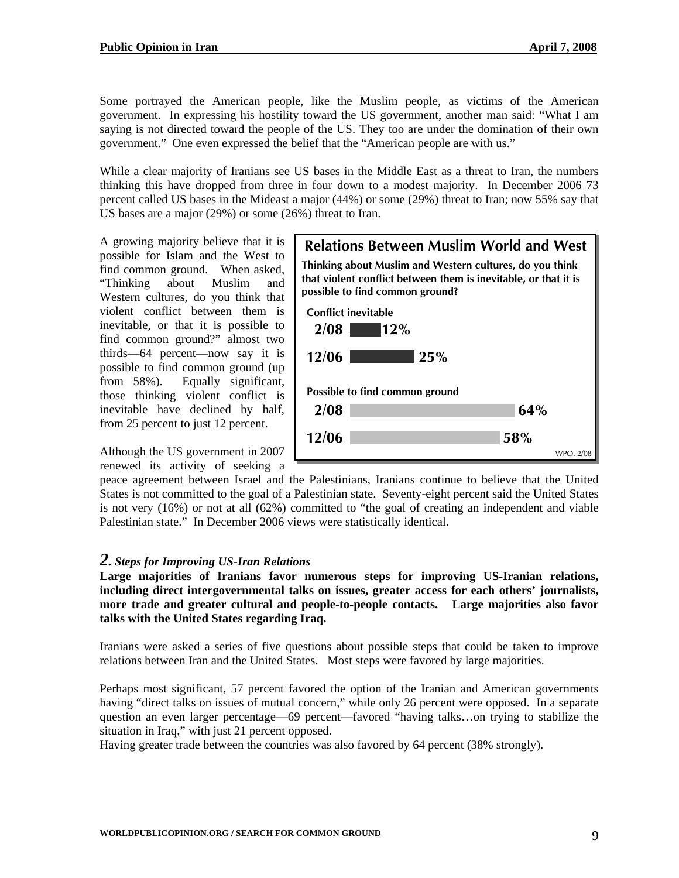Some portrayed the American people, like the Muslim people, as victims of the American government. In expressing his hostility toward the US government, another man said: "What I am saying is not directed toward the people of the US. They too are under the domination of their own government." One even expressed the belief that the "American people are with us."

While a clear majority of Iranians see US bases in the Middle East as a threat to Iran, the numbers thinking this have dropped from three in four down to a modest majority. In December 2006 73 percent called US bases in the Mideast a major (44%) or some (29%) threat to Iran; now 55% say that US bases are a major (29%) or some (26%) threat to Iran.

A growing majority believe that it is possible for Islam and the West to find common ground. When asked, "Thinking about Muslim and Western cultures, do you think that violent conflict between them is inevitable, or that it is possible to find common ground?" almost two thirds—64 percent—now say it is possible to find common ground (up from 58%). Equally significant, those thinking violent conflict is inevitable have declined by half, from 25 percent to just 12 percent.

Although the US government in 2007 renewed its activity of seeking a



peace agreement between Israel and the Palestinians, Iranians continue to believe that the United States is not committed to the goal of a Palestinian state. Seventy-eight percent said the United States is not very  $(16%)$  or not at all  $(62%)$  committed to "the goal of creating an independent and viable Palestinian state." In December 2006 views were statistically identical.

#### *2. Steps for Improving US-Iran Relations*

**Large majorities of Iranians favor numerous steps for improving US-Iranian relations, including direct intergovernmental talks on issues, greater access for each others' journalists, more trade and greater cultural and people-to-people contacts. Large majorities also favor talks with the United States regarding Iraq.** 

Iranians were asked a series of five questions about possible steps that could be taken to improve relations between Iran and the United States. Most steps were favored by large majorities.

Perhaps most significant, 57 percent favored the option of the Iranian and American governments having "direct talks on issues of mutual concern," while only 26 percent were opposed. In a separate question an even larger percentage—69 percent—favored "having talks…on trying to stabilize the situation in Iraq," with just 21 percent opposed.

Having greater trade between the countries was also favored by 64 percent (38% strongly).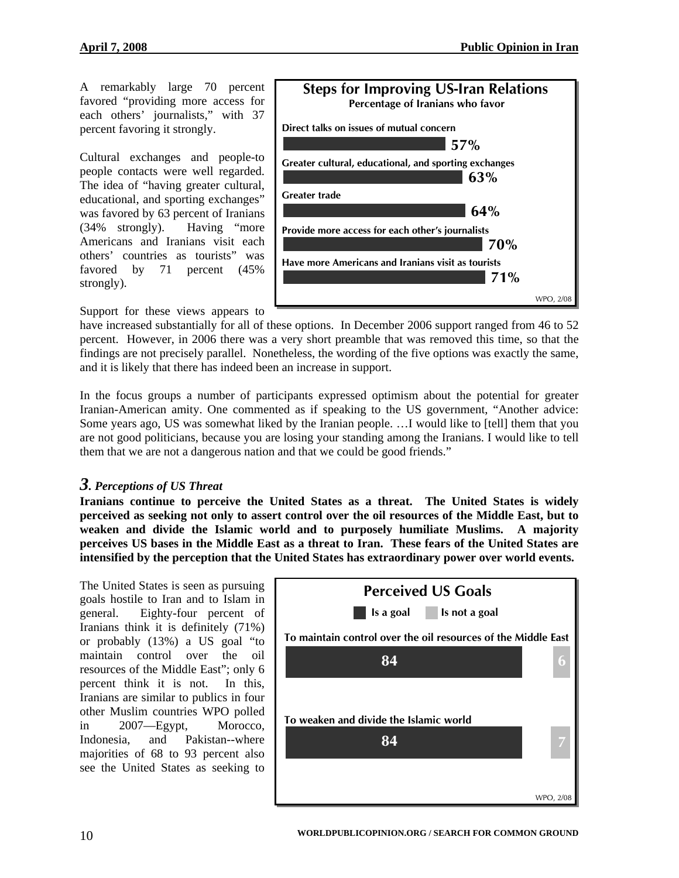A remarkably large 70 percent favored "providing more access for each others' journalists," with 37 percent favoring it strongly.

Cultural exchanges and people-to people contacts were well regarded. The idea of "having greater cultural, educational, and sporting exchanges" was favored by 63 percent of Iranians (34% strongly). Having "more Americans and Iranians visit each others' countries as tourists" was favored by 71 percent (45% strongly).

Support for these views appears to



and it is likely that there has indeed been an increase in support. have increased substantially for all of these options. In December 2006 support ranged from 46 to 52 percent. However, in 2006 there was a very short preamble that was removed this time, so that the findings are not precisely parallel. Nonetheless, the wording of the five options was exactly the same,

In the focus groups a number of participants expressed optimism about the potential for greater Iranian-American amity. One commented as if speaking to the US government, "Another advice: Some years ago, US was somewhat liked by the Iranian people. …I would like to [tell] them that you are not good politicians, because you are losing your standing among the Iranians. I would like to tell them that we are not a dangerous nation and that we could be good friends."

#### *3. Perceptions of US Threat*

**Iranians continue to perceive the United States as a threat. The United States is widely perceived as seeking not only to assert control over the oil resources of the Middle East, but to weaken and divide the Islamic world and to purposely humiliate Muslims. A majority perceives US bases in the Middle East as a threat to Iran. These fears of the United States are intensified by the perception that the United States has extraordinary power over world events.** 

The United States is seen as pursuing goals hostile to Iran and to Islam in general. Eighty-four percent of Iranians think it is definitely (71%) or probably (13%) a US goal "to maintain control over the oil resources of the Middle East"; only 6 percent think it is not. In this, Iranians are similar to publics in four other Muslim countries WPO polled in 2007—Egypt, Morocco, Indonesia, and Pakistan--where majorities of 68 to 93 percent also see the United States as seeking to

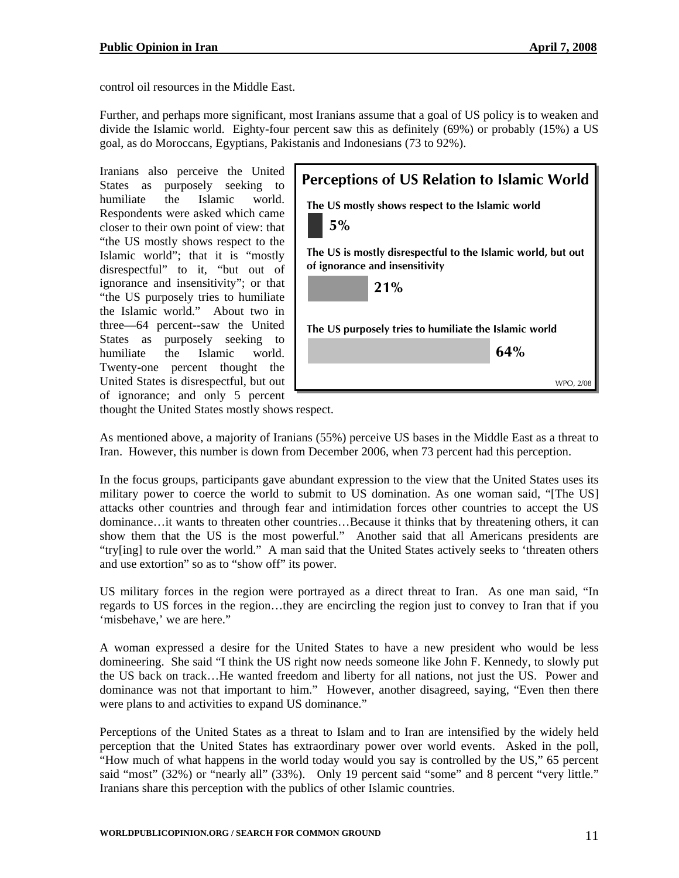control oil resources in the Middle East.

divide the Islamic world. Eighty-four percent saw this as definitely  $(69%)$  or probably  $(15%)$  a US goal, as do Moroccans, Egyptians, Pakistanis and Indonesians (73 to 92%). Further, and perhaps more significant, most Iranians assume that a goal of US policy is to weaken and

of ignorance; and only 5 percent Iranians also perceive the United States as purposely seeking to humiliate the Islamic world. Respondents were asked which came closer to their own point of view: that "the US mostly shows respect to the Islamic world"; that it is "mostly disrespectful" to it, "but out of ignorance and insensitivity"; or that "the US purposely tries to humiliate the Islamic world." About two in three—64 percent--saw the United States as purposely seeking to humiliate the Islamic world. Twenty-one percent thought the United States is disrespectful, but out



thought the United States mostly shows respect.

As mentioned above, a majority of Iranians (55%) perceive US bases in the Middle East as a threat to Iran. However, this number is down from December 2006, when 73 percent had this perception.

"try[ing] to rule over the world." A man said that the United States actively seeks to 'threaten others and use extortion" so as to "show off" its power. In the focus groups, participants gave abundant expression to the view that the United States uses its military power to coerce the world to submit to US domination. As one woman said, "[The US] attacks other countries and through fear and intimidation forces other countries to accept the US dominance…it wants to threaten other countries…Because it thinks that by threatening others, it can show them that the US is the most powerful." Another said that all Americans presidents are

regards to US forces in the region...they are encircling the region just to convey to Iran that if you 'misbehave,' we are here." US military forces in the region were portrayed as a direct threat to Iran. As one man said, "In

dominance was not that important to him." However, another disagreed, saying, "Even then there were plans to and activities to expand US dominance." A woman expressed a desire for the United States to have a new president who would be less domineering. She said "I think the US right now needs someone like John F. Kennedy, to slowly put the US back on track…He wanted freedom and liberty for all nations, not just the US. Power and

said "most" (32%) or "nearly all" (33%). Only 19 percent said "some" and 8 percent "very little." Iranians share this perception with the publics of other Islamic countries. Perceptions of the United States as a threat to Islam and to Iran are intensified by the widely held perception that the United States has extraordinary power over world events. Asked in the poll, "How much of what happens in the world today would you say is controlled by the US," 65 percent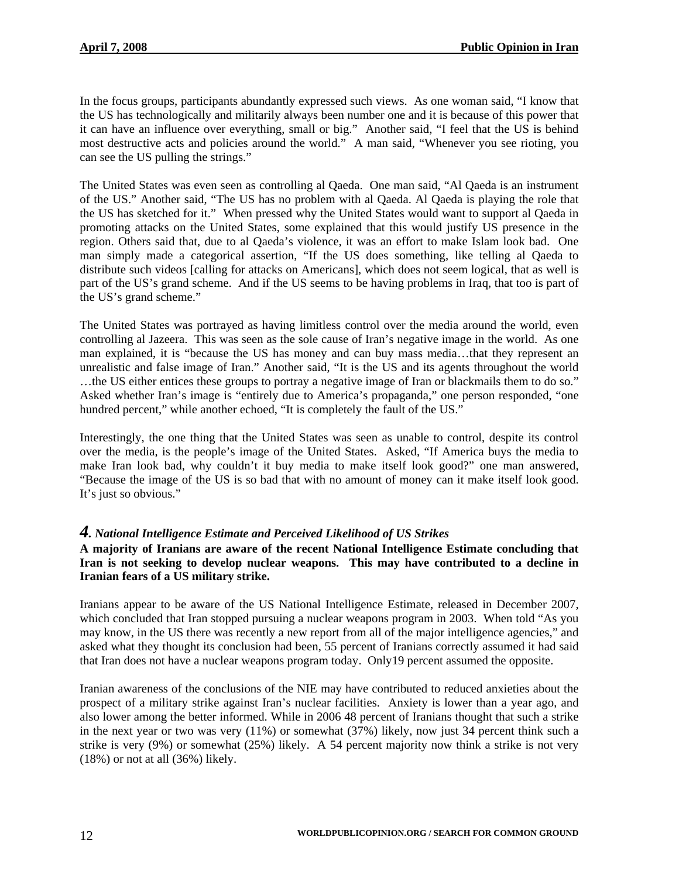In the focus groups, participants abundantly expressed such views. As one woman said, "I know that the US has technologically and militarily always been number one and it is because of this power that it can have an influence over everything, small or big." Another said, "I feel that the US is behind most destructive acts and policies around the world." A man said, "Whenever you see rioting, you can see the US pulling the strings."

part of the US's grand scheme. And if the US seems to be having problems in Iraq, that too is part of the US's grand scheme." The United States was even seen as controlling al Qaeda. One man said, "Al Qaeda is an instrument of the US." Another said, "The US has no problem with al Qaeda. Al Qaeda is playing the role that the US has sketched for it." When pressed why the United States would want to support al Qaeda in promoting attacks on the United States, some explained that this would justify US presence in the region. Others said that, due to al Qaeda's violence, it was an effort to make Islam look bad. One man simply made a categorical assertion, "If the US does something, like telling al Qaeda to distribute such videos [calling for attacks on Americans], which does not seem logical, that as well is

Asked whether Iran's image is "entirely due to America's propaganda," one person responded, "one hundred percent," while another echoed, "It is completely the fault of the US." The United States was portrayed as having limitless control over the media around the world, even controlling al Jazeera. This was seen as the sole cause of Iran's negative image in the world. As one man explained, it is "because the US has money and can buy mass media…that they represent an unrealistic and false image of Iran." Another said, "It is the US and its agents throughout the world …the US either entices these groups to portray a negative image of Iran or blackmails them to do so."

"Because the image of the US is so bad that with no amount of money can it make itself look good. 's just so obvious." It Interestingly, the one thing that the United States was seen as unable to control, despite its control over the media, is the people's image of the United States. Asked, "If America buys the media to make Iran look bad, why couldn't it buy media to make itself look good?" one man answered,

#### *4. National Intelligence Estimate and Perceived Likelihood of US Strikes*

#### Iran is not seeking to develop nuclear weapons. This may have contributed to a decline in **ranian fears of a US military strike. I A majority of Iranians are aware of the recent National Intelligence Estimate concluding that**

asked what they thought its conclusion had been, 55 percent of Iranians correctly assumed it had said that Iran does not have a nuclear weapons program today. Only19 percent assumed the opposite. Iranians appear to be aware of the US National Intelligence Estimate, released in December 2007, which concluded that Iran stopped pursuing a nuclear weapons program in 2003. When told "As you may know, in the US there was recently a new report from all of the major intelligence agencies," and

strike is very (9%) or somewhat (25%) likely. A 54 percent majority now think a strike is not very  $(18%)$  or not at all  $(36%)$  likely. Iranian awareness of the conclusions of the NIE may have contributed to reduced anxieties about the prospect of a military strike against Iran's nuclear facilities. Anxiety is lower than a year ago, and also lower among the better informed. While in 2006 48 percent of Iranians thought that such a strike in the next year or two was very (11%) or somewhat (37%) likely, now just 34 percent think such a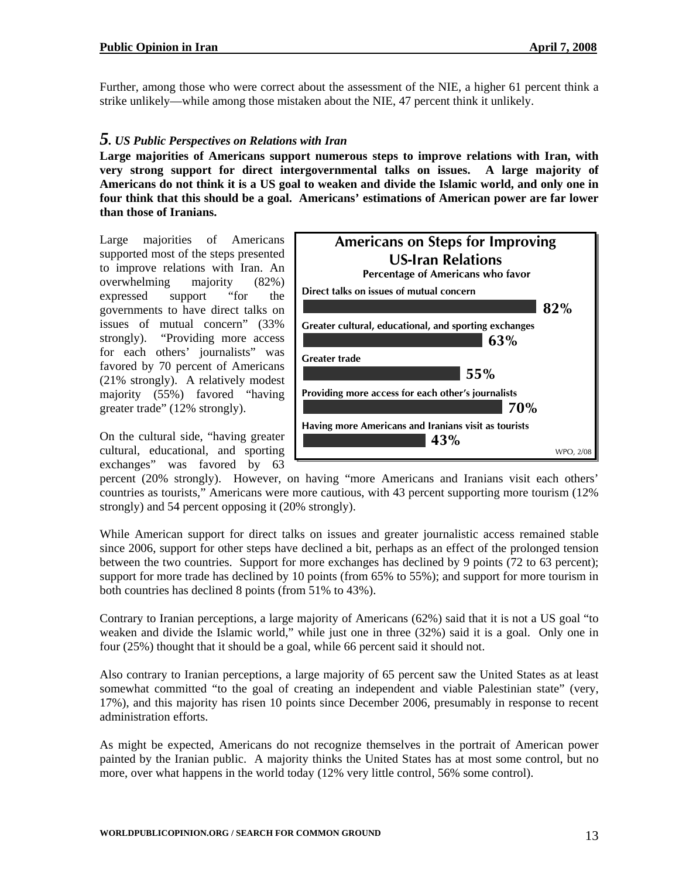Further, among those who were correct about the assessment of the NIE, a higher 61 percent think a strike unlikely—while among those mistaken about the NIE, 47 percent think it unlikely.

#### *5. US Public Perspectives on Relations with Iran*

Americans do not think it is a US goal to weaken and divide the Islamic world, and only one in four think that this should be a goal. Americans' estimations of American power are far lower **Large majorities of Americans support numerous steps to improve relations with Iran, with very strong support for direct intergovernmental talks on issues. A large majority of than those of Iranians.** 

(21% strongly). A relatively modest majority (55%) favored "having Large majorities of Americans supported most of the steps presented to improve relations with Iran. An overwhelming majority (82%) expressed support "for the governments to have direct talks on issues of mutual concern" (33% strongly). "Providing more access for each others' journalists" was favored by 70 percent of Americans greater trade" (12% strongly).

On the cultural side, "having greater cultural, educational, and sporting exchanges" was favored by 63



percent (20% strongly). However, on having "more Americans and Iranians visit each others' countries as tourists," Americans were more cautious, with 43 percent supporting more tourism (12%) strongly) and 54 percent opposing it (20% strongly).

between the two countries. Support for more exchanges has declined by 9 points (72 to 63 percent); support for more trade has declined by 10 points (from 65% to 55%); and support for more tourism in While American support for direct talks on issues and greater journalistic access remained stable since 2006, support for other steps have declined a bit, perhaps as an effect of the prolonged tension both countries has declined 8 points (from 51% to 43%).

Contrary to Iranian perceptions, a large majority of Americans (62%) said that it is not a US goal "to weaken and divide the Islamic world," while just one in three (32%) said it is a goal. Only one in four (25%) thought that it should be a goal, while 66 percent said it should not.

somewhat committed "to the goal of creating an independent and viable Palestinian state" (very, 7%), and this majority has risen 10 points since December 2006, presumably in response to recent 1 Also contrary to Iranian perceptions, a large majority of 65 percent saw the United States as at least administration efforts.

As might be expected, Americans do not recognize themselves in the portrait of American power painted by the Iranian public. A majority thinks the United States has at most some control, but no more, over what happens in the world today (12% very little control, 56% some control).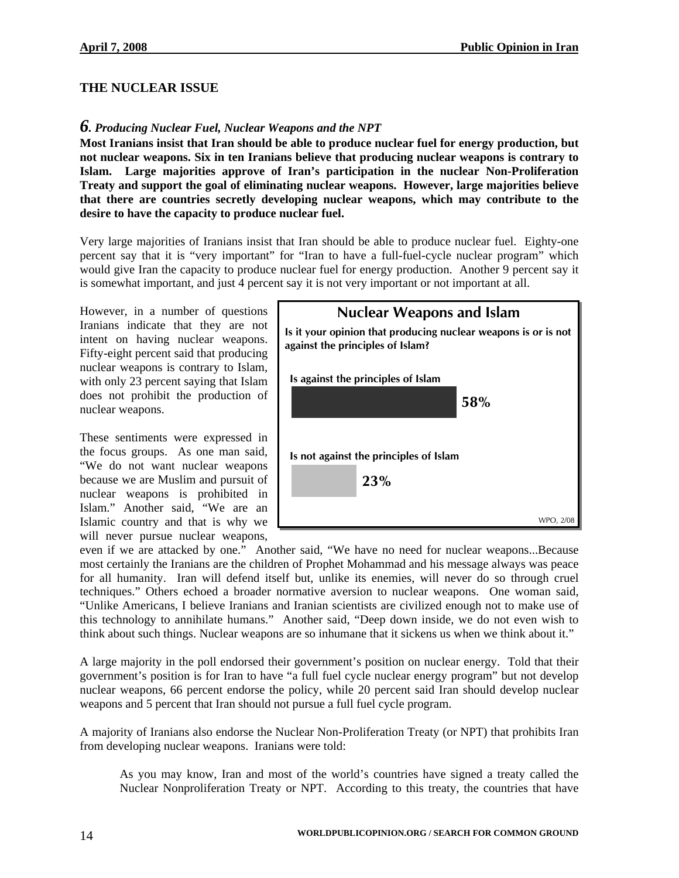#### **THE NUCLEAR ISSUE**

#### *6. Producing Nuclear Fuel, Nuclear Weapons and the NPT*

that there are countries secretly developing nuclear weapons, which may contribute to the desire to have the capacity to produce nuclear fuel. **Most Iranians insist that Iran should be able to produce nuclear fuel for energy production, but not nuclear weapons. Six in ten Iranians believe that producing nuclear weapons is contrary to Islam. Large majorities approve of Iran's participation in the nuclear Non-Proliferation Treaty and support the goal of eliminating nuclear weapons. However, large majorities believe** 

would give Iran the capacity to produce nuclear fuel for energy production. Another 9 percent say it is somewhat important, and just 4 percent say it is not very important or not important at all. Very large majorities of Iranians insist that Iran should be able to produce nuclear fuel. Eighty-one percent say that it is "very important" for "Iran to have a full-fuel-cycle nuclear program" which

does not prohibit the production of uclear weapons. n However, in a number of questions Iranians indicate that they are not intent on having nuclear weapons. Fifty-eight percent said that producing nuclear weapons is contrary to Islam, with only 23 percent saying that Islam

These sentiments were expressed in the focus groups. As one man said, "We do not want nuclear weapons because we are Muslim and pursuit of nuclear weapons is prohibited in Islam." Another said, "We are an Islamic country and that is why we will never pursue nuclear weapons,

| <b>Nuclear Weapons and Islam</b>                                                                   |           |  |
|----------------------------------------------------------------------------------------------------|-----------|--|
| Is it your opinion that producing nuclear weapons is or is not<br>against the principles of Islam? |           |  |
| Is against the principles of Islam                                                                 |           |  |
| 58%                                                                                                |           |  |
| Is not against the principles of Islam                                                             |           |  |
| 23%                                                                                                |           |  |
|                                                                                                    |           |  |
|                                                                                                    | WPO, 2/08 |  |

think about such things. Nuclear weapons are so inhumane that it sickens us when we think about it." even if we are attacked by one." Another said, "We have no need for nuclear weapons...Because most certainly the Iranians are the children of Prophet Mohammad and his message always was peace for all humanity. Iran will defend itself but, unlike its enemies, will never do so through cruel techniques." Others echoed a broader normative aversion to nuclear weapons. One woman said, "Unlike Americans, I believe Iranians and Iranian scientists are civilized enough not to make use of this technology to annihilate humans." Another said, "Deep down inside, we do not even wish to

nuclear weapons, 66 percent endorse the policy, while 20 percent said Iran should develop nuclear weapons and 5 percent that Iran should not pursue a full fuel cycle program. A large majority in the poll endorsed their government's position on nuclear energy. Told that their government's position is for Iran to have "a full fuel cycle nuclear energy program" but not develop

A majority of Iranians also endorse the Nuclear Non-Proliferation Treaty (or NPT) that prohibits Iran from developing nuclear weapons. Iranians were told:

As you may know, Iran and most of the world's countries have signed a treaty called the Nuclear Nonproliferation Treaty or NPT. According to this treaty, the countries that have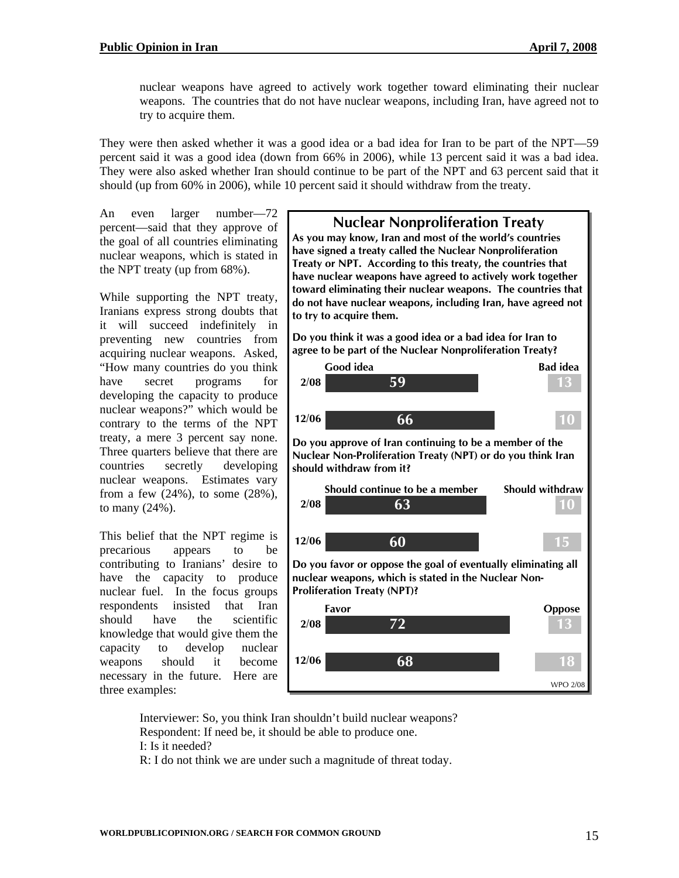nuclear weapons have agreed to actively work together toward eliminating their nuclear weapons. The countries that do not have nuclear weapons, including Iran, have agreed not to try to acquire them.

They were also asked whether Iran should continue to be part of the NPT and 63 percent said that it should (up from 60% in 2006), while 10 percent said it should withdraw from the treaty. They were then asked whether it was a good idea or a bad idea for Iran to be part of the NPT—59 percent said it was a good idea (down from 66% in 2006), while 13 percent said it was a bad idea.

nuclear weapons, which is stated in the NPT treaty (up from  $68\%$ ). An even larger number—72 percent—said that they approve of the goal of all countries eliminating

from a few  $(24%)$ , to some  $(28%)$ , to many  $(24%)$ . While supporting the NPT treaty, Iranians express strong doubts that it will succeed indefinitely in preventing new countries from acquiring nuclear weapons. Asked, "How many countries do you think have secret programs for developing the capacity to produce nuclear weapons?" which would be contrary to the terms of the NPT treaty, a mere 3 percent say none. Three quarters believe that there are countries secretly developing nuclear weapons. Estimates vary

become necessary in the future. Here are three ex amples: This belief that the NPT regime is precarious appears to be contributing to Iranians' desire to have the capacity to produce nuclear fuel. In the focus groups respondents insisted that Iran should have the scientific knowledge that would give them the capacity to develop nuclear weapons should it



Interviewer: So, you think Iran shouldn't build nuclear weapons? I: Is it needed? Respondent: If need be, it should be able to produce one.

: I do not think we are under such a magnitude of threat today. R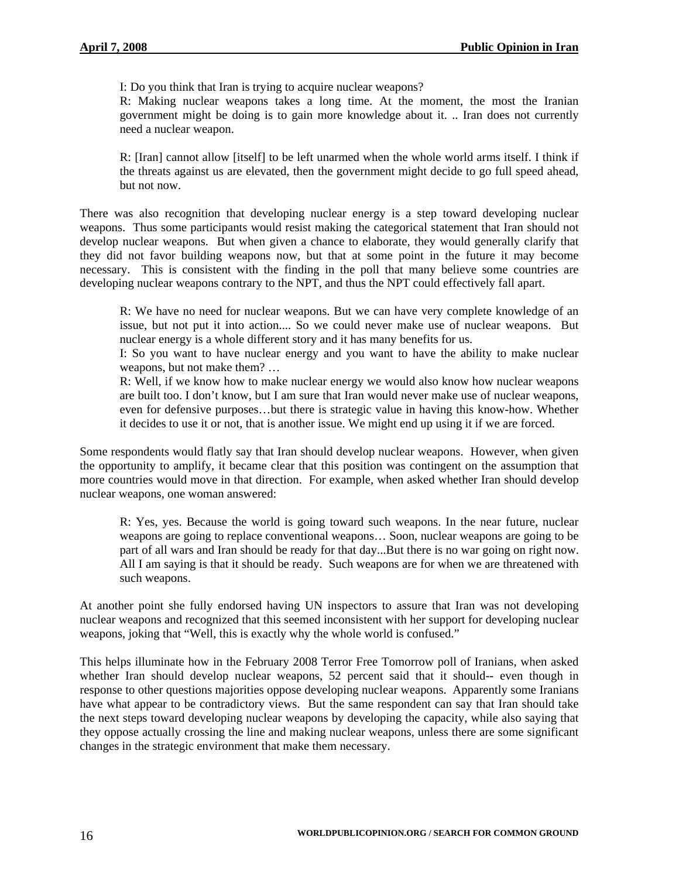I: Do you think that Iran is trying to acquire nuclear weapons?

R: Making nuclear weapons takes a long time. At the moment, the most the Iranian government might be doing is to gain more knowledge about it. .. Iran does not currently need a nuclear weapon.

the threats against us are elevated, then the government might decide to go full speed ahead, but not now. R: [Iran] cannot allow [itself] to be left unarmed when the whole world arms itself. I think if

necessary. This is consistent with the finding in the poll that many believe some countries are developing nuclear weapons contrary to the NPT, and thus the NPT could effectively fall apart. There was also recognition that developing nuclear energy is a step toward developing nuclear weapons. Thus some participants would resist making the categorical statement that Iran should not develop nuclear weapons. But when given a chance to elaborate, they would generally clarify that they did not favor building weapons now, but that at some point in the future it may become

issue, but not put it into action.... So we could never make use of nuclear weapons. But R: We have no need for nuclear weapons. But we can have very complete knowledge of an nuclear energy is a whole different story and it has many benefits for us.

I: So you want to have nuclear energy and you want to have the ability to make nuclear weapons, but not make them? …

even for defensive purposes...but there is strategic value in having this know-how. Whether it decides to use it or not, that is another issue. We might end up using it if we are forced. R: Well, if we know how to make nuclear energy we would also know how nuclear weapons are built too. I don't know, but I am sure that Iran would never make use of nuclear weapons,

more countries would move in that direction. For example, when asked whether Iran should develop nuclear weapons, one woman answered: Some respondents would flatly say that Iran should develop nuclear weapons. However, when given the opportunity to amplify, it became clear that this position was contingent on the assumption that

All I am saying is that it should be ready. Such weapons are for when we are threatened with such weapons. R: Yes, yes. Because the world is going toward such weapons. In the near future, nuclear weapons are going to replace conventional weapons… Soon, nuclear weapons are going to be part of all wars and Iran should be ready for that day...But there is no war going on right now.

nuclear weapons and recognized that this seemed inconsistent with her support for developing nuclear weapons, joking that "Well, this is exactly why the whole world is confused." At another point she fully endorsed having UN inspectors to assure that Iran was not developing

they oppose actually crossing the line and making nuclear weapons, unless there are some significant changes in the strategic environment that make them necessary. This helps illuminate how in the February 2008 Terror Free Tomorrow poll of Iranians, when asked whether Iran should develop nuclear weapons, 52 percent said that it should-- even though in response to other questions majorities oppose developing nuclear weapons. Apparently some Iranians have what appear to be contradictory views. But the same respondent can say that Iran should take the next steps toward developing nuclear weapons by developing the capacity, while also saying that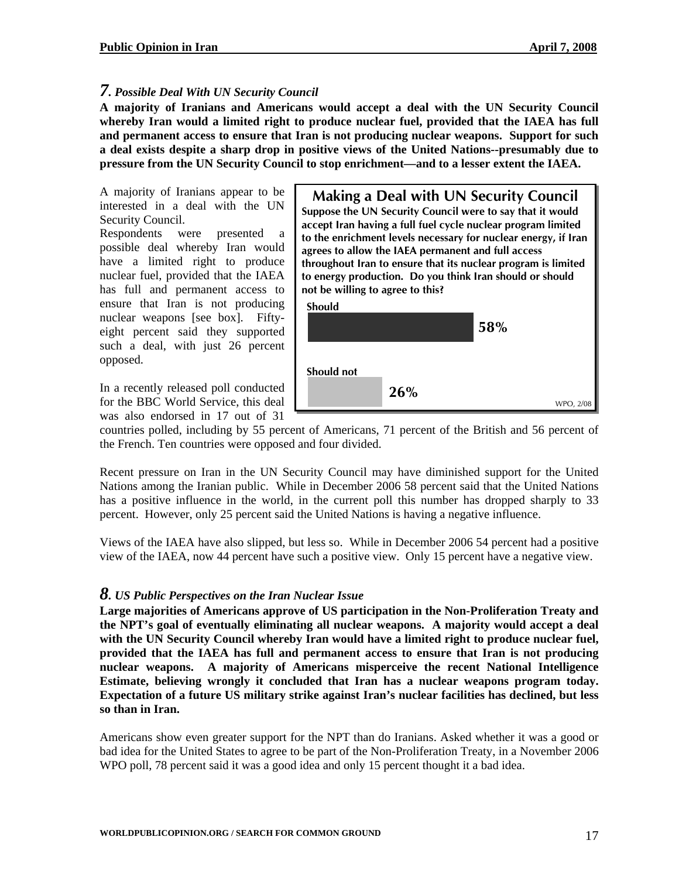#### *7. Possible Deal With UN Security Council*

**A majority of Iranians and Americans would accept a deal with the UN Security Council whereby Iran would a limited right to produce nuclear fuel, provided that the IAEA has full and permanent access to ensure that Iran is not producing nuclear weapons. Support for such a deal exists despite a sharp drop in positive views of the United Nations--presumably due to pressure from the UN Security Council to stop enrichment—and to a lesser extent the IAEA.** 

A majority of Iranians appear to be interested in a deal with the UN Security Council.

Respondents were presented a possible deal whereby Iran would have a limited right to produce nuclear fuel, provided that the IAEA has full and permanent access to ensure that Iran is not producing nuclear weapons [see box]. Fiftyeight percent said they supported such a deal, with just 26 percent opposed.

In a recently released poll conducted for the BBC World Service, this deal was also endorsed in 17 out of 31

**Suppose the UN Security Council were to say that it would Suppose the UN Security Council were to say that it would accept Iran having a full fuel cycle nuclear program limited accept Iran having a full fuel cycle nuclear program limited to the enrichment levels necessary for nuclear energy, if Iran to the enrichment levels necessary for nuclear energy, if Iran agrees to allow the IAEA permanent and full access agrees to allow the IAEA permanent and full access throughout Iran to ensure that its nuclear program is limited throughout Iran to ensure that its nuclear program is limited to energy production. Do you think Iran should or should to energy production. Do you think Iran should or should not be willing to agree to this? not be willing to agree to this? Making a Deal with UN Security Council Making a Deal with UN Security Council**





countries polled, including by 55 percent of Americans, 71 percent of the British and 56 percent of the French. Ten countries were opposed and four divided.

Recent pressure on Iran in the UN Security Council may have diminished support for the United Nations among the Iranian public. While in December 2006 58 percent said that the United Nations has a positive influence in the world, in the current poll this number has dropped sharply to 33 percent. However, only 25 percent said the United Nations is having a negative influence.

Views of the IAEA have also slipped, but less so. While in December 2006 54 percent had a positive view of the IAEA, now 44 percent have such a positive view. Only 15 percent have a negative view.

#### *8. US Public Perspectives on the Iran Nuclear Issue*

**Large majorities of Americans approve of US participation in the Non-Proliferation Treaty and the NPT's goal of eventually eliminating all nuclear weapons. A majority would accept a deal with the UN Security Council whereby Iran would have a limited right to produce nuclear fuel, provided that the IAEA has full and permanent access to ensure that Iran is not producing nuclear weapons. A majority of Americans misperceive the recent National Intelligence Estimate, believing wrongly it concluded that Iran has a nuclear weapons program today. Expectation of a future US military strike against Iran's nuclear facilities has declined, but less so than in Iran.** 

Americans show even greater support for the NPT than do Iranians. Asked whether it was a good or bad idea for the United States to agree to be part of the Non-Proliferation Treaty, in a November 2006 WPO poll, 78 percent said it was a good idea and only 15 percent thought it a bad idea.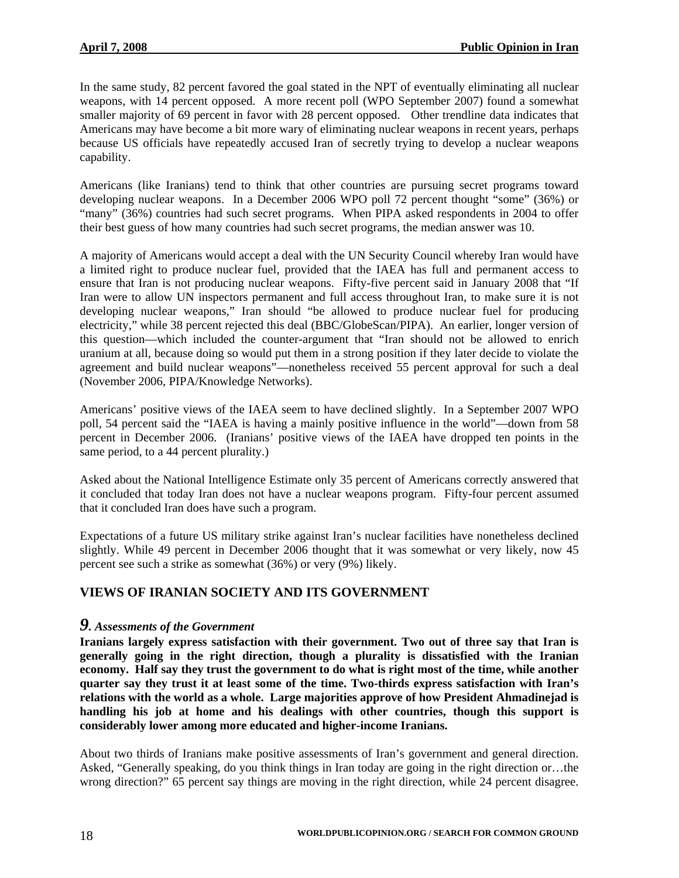In the same study, 82 percent favored the goal stated in the NPT of eventually eliminating all nuclear weapons, with 14 percent opposed. A more recent poll (WPO September 2007) found a somewhat smaller majority of 69 percent in favor with 28 percent opposed. Other trendline data indicates that Americans may have become a bit more wary of eliminating nuclear weapons in recent years, perhaps because US officials have repeatedly accused Iran of secretly trying to develop a nuclear weapons capability.

Americans (like Iranians) tend to think that other countries are pursuing secret programs toward developing nuclear weapons. In a December 2006 WPO poll 72 percent thought "some" (36%) or "many" (36%) countries had such secret programs. When PIPA asked respondents in 2004 to offer their best guess of how many countries had such secret programs, the median answer was 10.

A majority of Americans would accept a deal with the UN Security Council whereby Iran would have a limited right to produce nuclear fuel, provided that the IAEA has full and permanent access to ensure that Iran is not producing nuclear weapons. Fifty-five percent said in January 2008 that "If Iran were to allow UN inspectors permanent and full access throughout Iran, to make sure it is not developing nuclear weapons," Iran should "be allowed to produce nuclear fuel for producing electricity," while 38 percent rejected this deal (BBC/GlobeScan/PIPA). An earlier, longer version of this question—which included the counter-argument that "Iran should not be allowed to enrich uranium at all, because doing so would put them in a strong position if they later decide to violate the agreement and build nuclear weapons"—nonetheless received 55 percent approval for such a deal (November 2006, PIPA/Knowledge Networks).

Americans' positive views of the IAEA seem to have declined slightly. In a September 2007 WPO poll, 54 percent said the "IAEA is having a mainly positive influence in the world"—down from 58 percent in December 2006. (Iranians' positive views of the IAEA have dropped ten points in the same period, to a 44 percent plurality.)

Asked about the National Intelligence Estimate only 35 percent of Americans correctly answered that it concluded that today Iran does not have a nuclear weapons program. Fifty-four percent assumed that it concluded Iran does have such a program.

Expectations of a future US military strike against Iran's nuclear facilities have nonetheless declined slightly. While 49 percent in December 2006 thought that it was somewhat or very likely, now 45 percent see such a strike as somewhat (36%) or very (9%) likely.

#### **VIEWS OF IRANIAN SOCIETY AND ITS GOVERNMENT**

#### *9. Assessments of the Government*

**Iranians largely express satisfaction with their government. Two out of three say that Iran is generally going in the right direction, though a plurality is dissatisfied with the Iranian economy. Half say they trust the government to do what is right most of the time, while another quarter say they trust it at least some of the time. Two-thirds express satisfaction with Iran's relations with the world as a whole. Large majorities approve of how President Ahmadinejad is handling his job at home and his dealings with other countries, though this support is considerably lower among more educated and higher-income Iranians.** 

About two thirds of Iranians make positive assessments of Iran's government and general direction. Asked, "Generally speaking, do you think things in Iran today are going in the right direction or…the wrong direction?" 65 percent say things are moving in the right direction, while 24 percent disagree.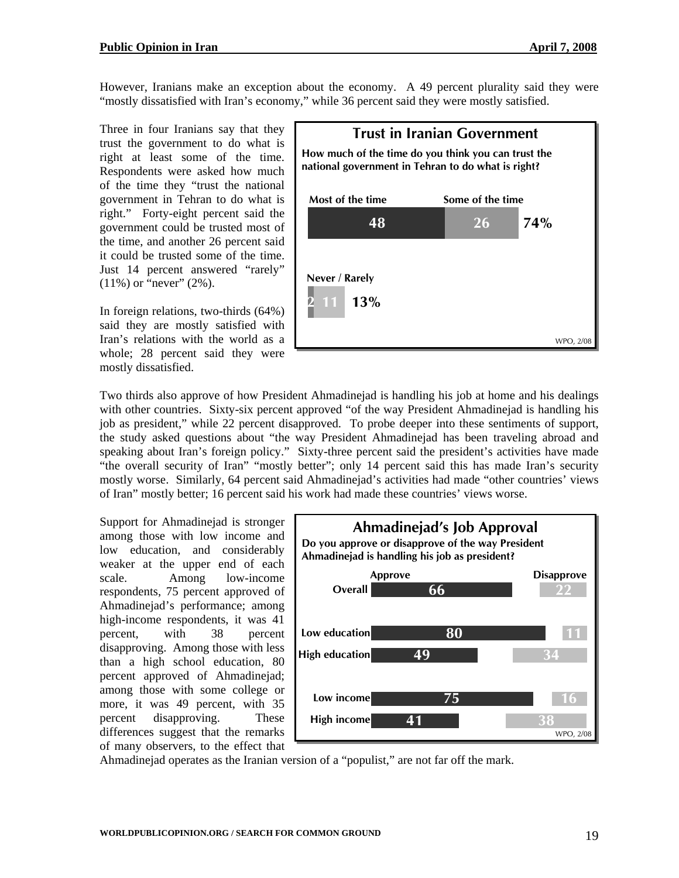However, Iranians make an exception about the economy. A 49 percent plurality said they were "mostly dissatisfied with Iran's economy," while 36 percent said they were mostly satisfied.

Three in four Iranians say that they trust the government to do what is right at least some of the time. Respondents were asked how much of the time they "trust the national government in Tehran to do what is right." Forty-eight percent said the government could be trusted most of the time, and another 26 percent said it could be trusted some of the time. Just 14 percent answered "rarely"  $(11\%)$  or "never"  $(2\%)$ .

In foreign relations, two-thirds (64%) said they are mostly satisfied with Iran's relations with the world as a whole; 28 percent said they were mostly dissatisfied.



Two thirds also approve of how President Ahmadinejad is handling his job at home and his dealings with other countries. Sixty-six percent approved "of the way President Ahmadinejad is handling his job as president," while 22 percent disapproved. To probe deeper into these sentiments of support, the study asked questions about "the way President Ahmadinejad has been traveling abroad and speaking about Iran's foreign policy." Sixty-three percent said the president's activities have made "the overall security of Iran" "mostly better"; only 14 percent said this has made Iran's security mostly worse. Similarly, 64 percent said Ahmadinejad's activities had made "other countries' views of Iran" mostly better; 16 percent said his work had made these countries' views worse.

Support for Ahmadinejad is stronger among those with low income and low education, and considerably weaker at the upper end of each scale. Among low-income respondents, 75 percent approved of Ahmadinejad's performance; among high-income respondents, it was 41 percent, with 38 percent disapproving. Among those with less than a high school education, 80 percent approved of Ahmadinejad; among those with some college or more, it was 49 percent, with 35 percent disapproving. These differences suggest that the remarks of many observers, to the effect that



Ahmadinejad operates as the Iranian version of a "populist," are not far off the mark.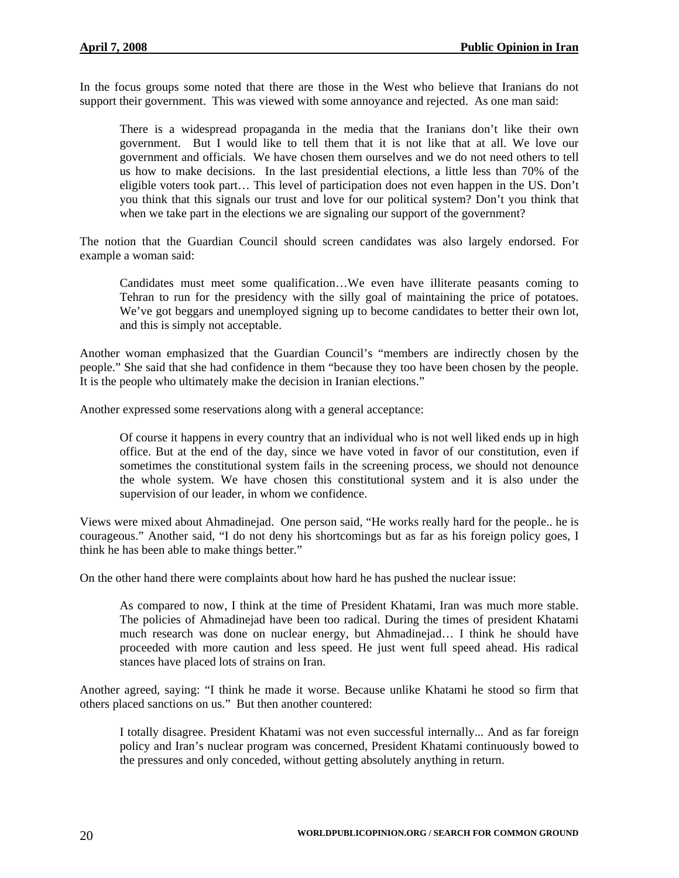In the focus groups some noted that there are those in the West who believe that Iranians do not support their government. This was viewed with some annoyance and rejected. As one man said:

There is a widespread propaganda in the media that the Iranians don't like their own government. But I would like to tell them that it is not like that at all. We love our government and officials. We have chosen them ourselves and we do not need others to tell us how to make decisions. In the last presidential elections, a little less than 70% of the eligible voters took part… This level of participation does not even happen in the US. Don't you think that this signals our trust and love for our political system? Don't you think that when we take part in the elections we are signaling our support of the government?

The notion that the Guardian Council should screen candidates was also largely endorsed. For example a woman said:

Candidates must meet some qualification…We even have illiterate peasants coming to Tehran to run for the presidency with the silly goal of maintaining the price of potatoes. We've got beggars and unemployed signing up to become candidates to better their own lot, and this is simply not acceptable.

Another woman emphasized that the Guardian Council's "members are indirectly chosen by the people." She said that she had confidence in them "because they too have been chosen by the people. It is the people who ultimately make the decision in Iranian elections."

Another expressed some reservations along with a general acceptance:

Of course it happens in every country that an individual who is not well liked ends up in high office. But at the end of the day, since we have voted in favor of our constitution, even if sometimes the constitutional system fails in the screening process, we should not denounce the whole system. We have chosen this constitutional system and it is also under the supervision of our leader, in whom we confidence.

Views were mixed about Ahmadinejad. One person said, "He works really hard for the people.. he is courageous." Another said, "I do not deny his shortcomings but as far as his foreign policy goes, I think he has been able to make things better."

On the other hand there were complaints about how hard he has pushed the nuclear issue:

As compared to now, I think at the time of President Khatami, Iran was much more stable. The policies of Ahmadinejad have been too radical. During the times of president Khatami much research was done on nuclear energy, but Ahmadinejad… I think he should have proceeded with more caution and less speed. He just went full speed ahead. His radical stances have placed lots of strains on Iran.

Another agreed, saying: "I think he made it worse. Because unlike Khatami he stood so firm that others placed sanctions on us." But then another countered:

I totally disagree. President Khatami was not even successful internally... And as far foreign policy and Iran's nuclear program was concerned, President Khatami continuously bowed to the pressures and only conceded, without getting absolutely anything in return.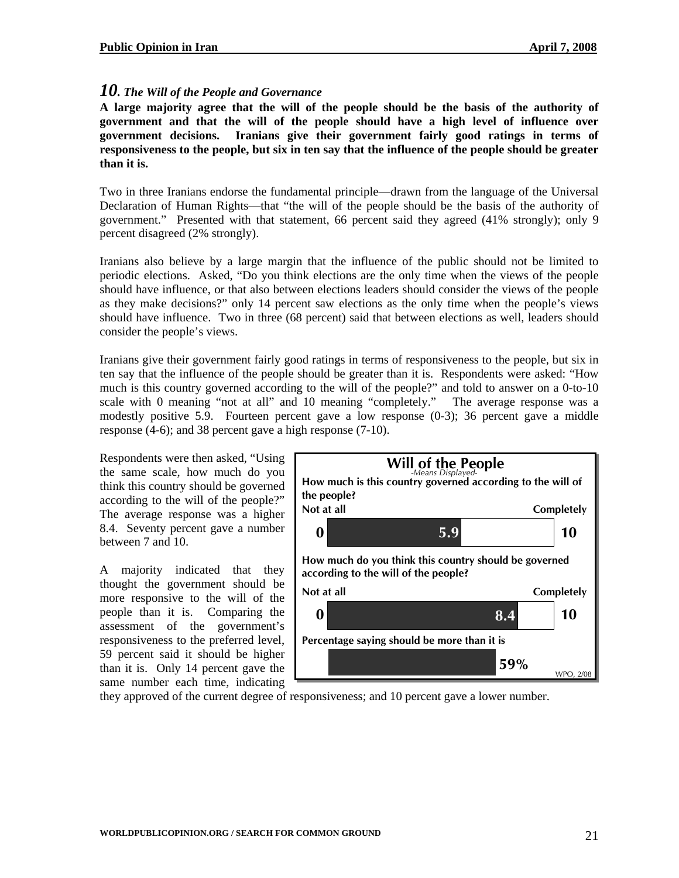#### *10. The Will of the People and Governance*

**A large majority agree that the will of the people should be the basis of the authority of government and that the will of the people should have a high level of influence over government decisions. Iranians give their government fairly good ratings in terms of responsiveness to the people, but six in ten say that the influence of the people should be greater than it is.** 

Two in three Iranians endorse the fundamental principle—drawn from the language of the Universal Declaration of Human Rights—that "the will of the people should be the basis of the authority of government." Presented with that statement, 66 percent said they agreed (41% strongly); only 9 percent disagreed (2% strongly).

Iranians also believe by a large margin that the influence of the public should not be limited to periodic elections. Asked, "Do you think elections are the only time when the views of the people should have influence, or that also between elections leaders should consider the views of the people as they make decisions?" only 14 percent saw elections as the only time when the people's views should have influence. Two in three (68 percent) said that between elections as well, leaders should consider the people's views.

Iranians give their government fairly good ratings in terms of responsiveness to the people, but six in ten say that the influence of the people should be greater than it is. Respondents were asked: "How much is this country governed according to the will of the people?" and told to answer on a 0-to-10 scale with 0 meaning "not at all" and 10 meaning "completely." The average response was a modestly positive 5.9. Fourteen percent gave a low response (0-3); 36 percent gave a middle response (4-6); and 38 percent gave a high response (7-10).

Respondents were then asked, "Using the same scale, how much do you think this country should be governed according to the will of the people?" The average response was a higher 8.4. Seventy percent gave a number between 7 and 10.

A majority indicated that they thought the government should be more responsive to the will of the people than it is. Comparing the assessment of the government's responsiveness to the preferred level, 59 percent said it should be higher than it is. Only 14 percent gave the same number each time, indicating



they approved of the current degree of responsiveness; and 10 percent gave a lower number.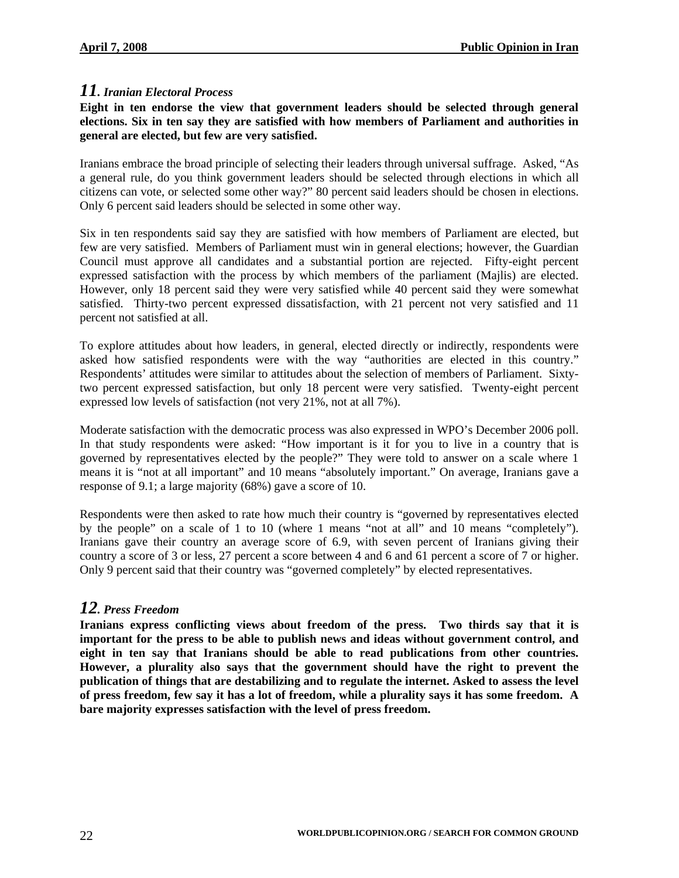## *11. Iranian Electoral Process*

#### **Eight in ten endorse the view that government leaders should be selected through general elections. Six in ten say they are satisfied with how members of Parliament and authorities in general are elected, but few are very satisfied.**

Iranians embrace the broad principle of selecting their leaders through universal suffrage. Asked, "As a general rule, do you think government leaders should be selected through elections in which all citizens can vote, or selected some other way?" 80 percent said leaders should be chosen in elections. Only 6 percent said leaders should be selected in some other way.

Six in ten respondents said say they are satisfied with how members of Parliament are elected, but few are very satisfied. Members of Parliament must win in general elections; however, the Guardian Council must approve all candidates and a substantial portion are rejected. Fifty-eight percent expressed satisfaction with the process by which members of the parliament (Majlis) are elected. However, only 18 percent said they were very satisfied while 40 percent said they were somewhat satisfied. Thirty-two percent expressed dissatisfaction, with 21 percent not very satisfied and 11 percent not satisfied at all.

To explore attitudes about how leaders, in general, elected directly or indirectly, respondents were asked how satisfied respondents were with the way "authorities are elected in this country." Respondents' attitudes were similar to attitudes about the selection of members of Parliament. Sixtytwo percent expressed satisfaction, but only 18 percent were very satisfied. Twenty-eight percent expressed low levels of satisfaction (not very 21%, not at all 7%).

Moderate satisfaction with the democratic process was also expressed in WPO's December 2006 poll. In that study respondents were asked: "How important is it for you to live in a country that is governed by representatives elected by the people?" They were told to answer on a scale where 1 means it is "not at all important" and 10 means "absolutely important." On average, Iranians gave a response of 9.1; a large majority (68%) gave a score of 10.

Respondents were then asked to rate how much their country is "governed by representatives elected by the people" on a scale of 1 to 10 (where 1 means "not at all" and 10 means "completely"). Iranians gave their country an average score of 6.9, with seven percent of Iranians giving their country a score of 3 or less, 27 percent a score between 4 and 6 and 61 percent a score of 7 or higher. Only 9 percent said that their country was "governed completely" by elected representatives.

# *12. Press Freedom*

**Iranians express conflicting views about freedom of the press. Two thirds say that it is important for the press to be able to publish news and ideas without government control, and eight in ten say that Iranians should be able to read publications from other countries. However, a plurality also says that the government should have the right to prevent the publication of things that are destabilizing and to regulate the internet. Asked to assess the level of press freedom, few say it has a lot of freedom, while a plurality says it has some freedom. A bare majority expresses satisfaction with the level of press freedom.**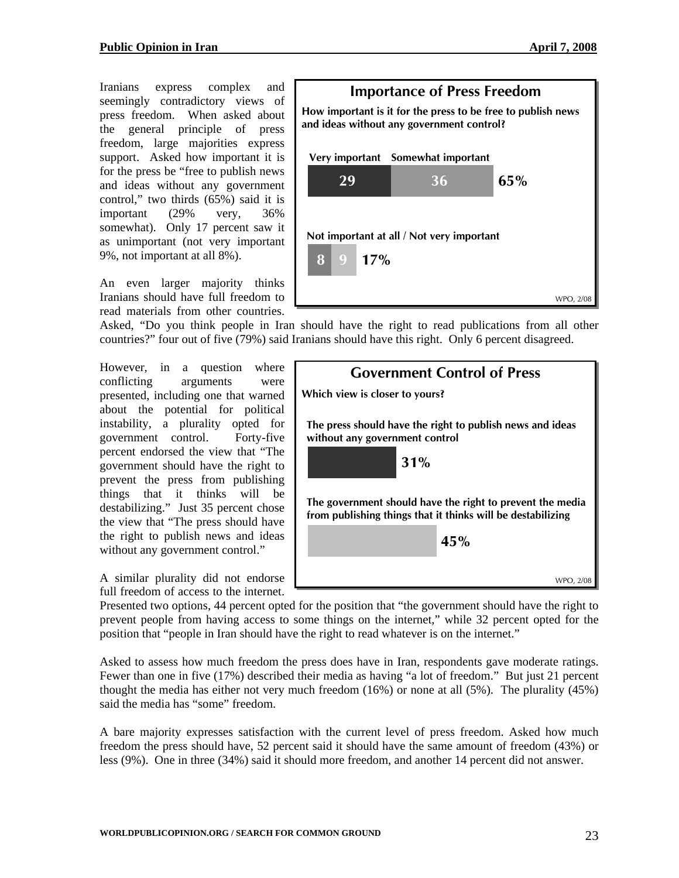Iranians express complex and seemingly contradictory views of press freedom. When asked about the general principle of press freedom, large majorities express support. Asked how important it is for the press be "free to publish news and ideas without any government control," two thirds (65%) said it is important (29% very, 36% somewhat). Only 17 percent saw it as unimportant (not very important 9%, not important at all 8%).

An even larger majority thinks Iranians should have full freedom to read materials from other countries.



Asked, "Do you think people in Iran should have the right to read publications from all other countries?" four out of five (79%) said Iranians should have this right. Only 6 percent disagreed.

without any government control." However, in a question where conflicting arguments were presented, including one that warned about the potential for political instability, a plurality opted for government control. Forty-five percent endorsed the view that "The government should have the right to prevent the press from publishing things that it thinks will be destabilizing." Just 35 percent chose the view that "The press should have the right to publish news and ideas

A similar plurality did not endorse full freedom of access to the internet.

| <b>Government Control of Press</b>                                                                                       |        |  |
|--------------------------------------------------------------------------------------------------------------------------|--------|--|
| Which view is closer to yours?                                                                                           |        |  |
| The press should have the right to publish news and ideas<br>without any government control                              |        |  |
| 31%                                                                                                                      |        |  |
| The government should have the right to prevent the media<br>from publishing things that it thinks will be destabilizing |        |  |
|                                                                                                                          | 45%    |  |
|                                                                                                                          | WPO, 2 |  |

Presented two options, 44 percent opted for the position that "the government should have the right to prevent people from having access to some things on the internet," while 32 percent opted for the position that "people in Iran should have the right to read whatever is on the internet."

Asked to assess how much freedom the press does have in Iran, respondents gave moderate ratings. Fewer than one in five (17%) described their media as having "a lot of freedom." But just 21 percent thought the media has either not very much freedom (16%) or none at all (5%). The plurality (45%) said the media has "some" freedom.

A bare majority expresses satisfaction with the current level of press freedom. Asked how much freedom the press should have, 52 percent said it should have the same amount of freedom (43%) or less (9%). One in three (34%) said it should more freedom, and another 14 percent did not answer.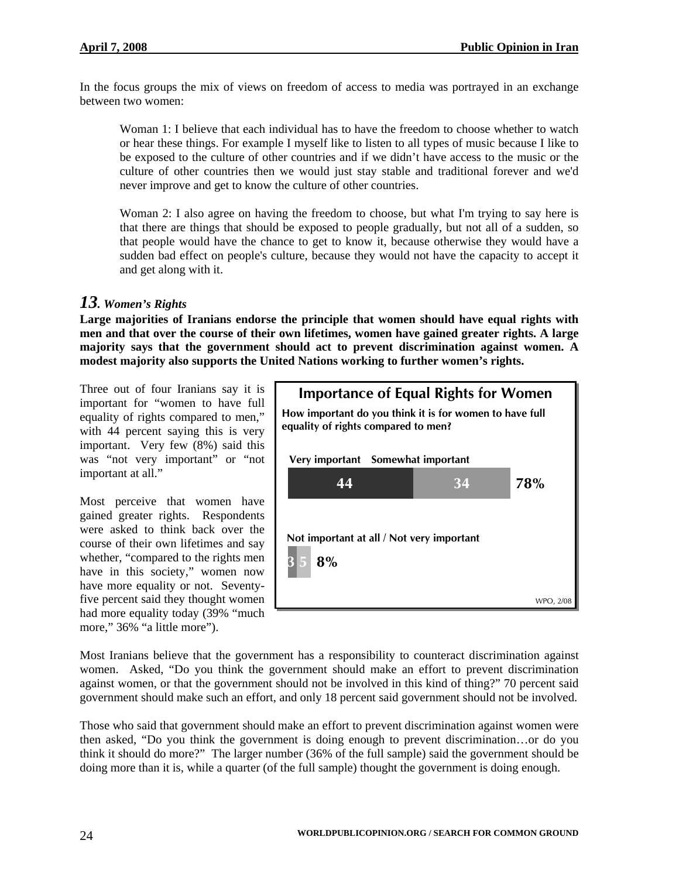In the focus groups the mix of views on freedom of access to media was portrayed in an exchange between two women:

Woman 1: I believe that each individual has to have the freedom to choose whether to watch or hear these things. For example I myself like to listen to all types of music because I like to be exposed to the culture of other countries and if we didn't have access to the music or the culture of other countries then we would just stay stable and traditional forever and we'd never improve and get to know the culture of other countries.

Woman 2: I also agree on having the freedom to choose, but what I'm trying to say here is that there are things that should be exposed to people gradually, but not all of a sudden, so that people would have the chance to get to know it, because otherwise they would have a sudden bad effect on people's culture, because they would not have the capacity to accept it and get along with it.

# *13. Women's Rights*

**Large majorities of Iranians endorse the principle that women should have equal rights with men and that over the course of their own lifetimes, women have gained greater rights. A large majority says that the government should act to prevent discrimination against women. A modest majority also supports the United Nations working to further women's rights.** 

Three out of four Iranians say it is important for "women to have full equality of rights compared to men," with 44 percent saying this is very important. Very few (8%) said this was "not very important" or "not important at all."

Most perceive that women have gained greater rights. Respondents were asked to think back over the course of their own lifetimes and say whether, "compared to the rights men have in this society," women now have more equality or not. Seventyfive percent said they thought women had more equality today (39% "much more," 36% "a little more").



Most Iranians believe that the government has a responsibility to counteract discrimination against women. Asked, "Do you think the government should make an effort to prevent discrimination against women, or that the government should not be involved in this kind of thing?" 70 percent said government should make such an effort, and only 18 percent said government should not be involved.

Those who said that government should make an effort to prevent discrimination against women were then asked, "Do you think the government is doing enough to prevent discrimination…or do you think it should do more?" The larger number (36% of the full sample) said the government should be doing more than it is, while a quarter (of the full sample) thought the government is doing enough.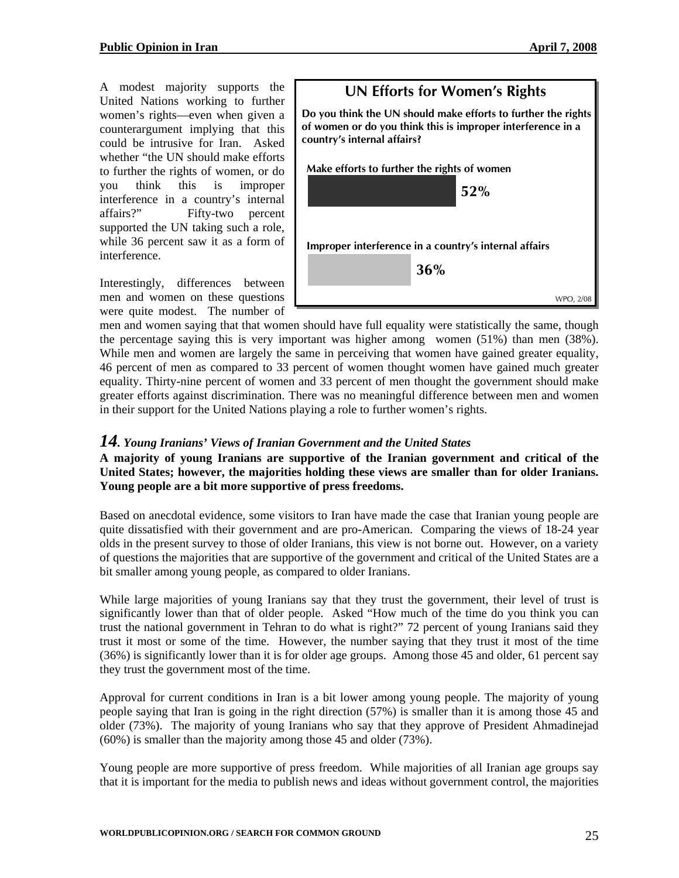A modest majority supports the United Nations working to further women's rights—even when given a counterargument implying that this could be intrusive for Iran. Asked whether "the UN should make efforts to further the rights of women, or do you think this is improper interference in a country's internal affairs?" Fifty-two percent supported the UN taking such a role, while 36 percent saw it as a form of interference.

Interestingly, differences between men and women on these questions were quite modest. The number of



men and women saying that that women should have full equality were statistically the same, though the percentage saying this is very important was higher among women (51%) than men (38%). While men and women are largely the same in perceiving that women have gained greater equality, 46 percent of men as compared to 33 percent of women thought women have gained much greater equality. Thirty-nine percent of women and 33 percent of men thought the government should make greater efforts against discrimination. There was no meaningful difference between men and women in their support for the United Nations playing a role to further women's rights.

#### *14. Young Iranians' Views of Iranian Government and the United States*

#### **A majority of young Iranians are supportive of the Iranian government and critical of the United States; however, the majorities holding these views are smaller than for older Iranians. Young people are a bit more supportive of press freedoms.**

Based on anecdotal evidence, some visitors to Iran have made the case that Iranian young people are quite dissatisfied with their government and are pro-American. Comparing the views of 18-24 year olds in the present survey to those of older Iranians, this view is not borne out. However, on a variety of questions the majorities that are supportive of the government and critical of the United States are a bit smaller among young people, as compared to older Iranians.

While large majorities of young Iranians say that they trust the government, their level of trust is significantly lower than that of older people. Asked "How much of the time do you think you can trust the national government in Tehran to do what is right?" 72 percent of young Iranians said they trust it most or some of the time. However, the number saying that they trust it most of the time (36%) is significantly lower than it is for older age groups. Among those 45 and older, 61 percent say they trust the government most of the time.

Approval for current conditions in Iran is a bit lower among young people. The majority of young people saying that Iran is going in the right direction (57%) is smaller than it is among those 45 and older (73%). The majority of young Iranians who say that they approve of President Ahmadinejad (60%) is smaller than the majority among those 45 and older (73%).

Young people are more supportive of press freedom. While majorities of all Iranian age groups say that it is important for the media to publish news and ideas without government control, the majorities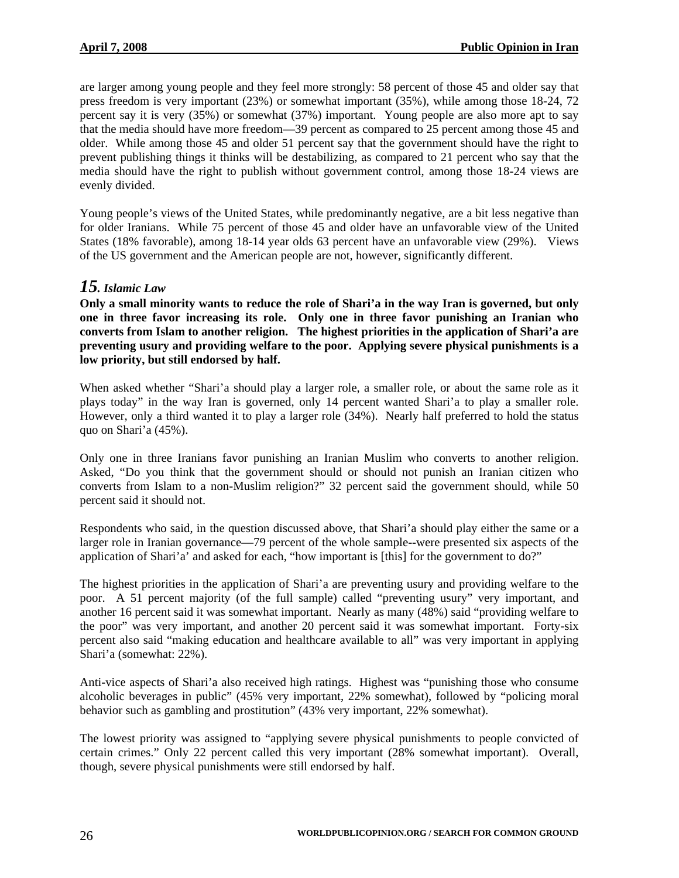are larger among young people and they feel more strongly: 58 percent of those 45 and older say that press freedom is very important (23%) or somewhat important (35%), while among those 18-24, 72 percent say it is very (35%) or somewhat (37%) important. Young people are also more apt to say that the media should have more freedom—39 percent as compared to 25 percent among those 45 and older. While among those 45 and older 51 percent say that the government should have the right to prevent publishing things it thinks will be destabilizing, as compared to 21 percent who say that the media should have the right to publish without government control, among those 18-24 views are evenly divided.

Young people's views of the United States, while predominantly negative, are a bit less negative than for older Iranians. While 75 percent of those 45 and older have an unfavorable view of the United States (18% favorable), among 18-14 year olds 63 percent have an unfavorable view (29%). Views of the US government and the American people are not, however, significantly different.

# *15. Islamic Law*

**Only a small minority wants to reduce the role of Shari'a in the way Iran is governed, but only one in three favor increasing its role. Only one in three favor punishing an Iranian who converts from Islam to another religion. The highest priorities in the application of Shari'a are preventing usury and providing welfare to the poor. Applying severe physical punishments is a low priority, but still endorsed by half.** 

When asked whether "Shari'a should play a larger role, a smaller role, or about the same role as it plays today" in the way Iran is governed, only 14 percent wanted Shari'a to play a smaller role. However, only a third wanted it to play a larger role (34%). Nearly half preferred to hold the status quo on Shari'a (45%).

Only one in three Iranians favor punishing an Iranian Muslim who converts to another religion. Asked, "Do you think that the government should or should not punish an Iranian citizen who converts from Islam to a non-Muslim religion?" 32 percent said the government should, while 50 percent said it should not.

Respondents who said, in the question discussed above, that Shari'a should play either the same or a larger role in Iranian governance—79 percent of the whole sample--were presented six aspects of the application of Shari'a' and asked for each, "how important is [this] for the government to do?"

The highest priorities in the application of Shari'a are preventing usury and providing welfare to the poor. A 51 percent majority (of the full sample) called "preventing usury" very important, and another 16 percent said it was somewhat important. Nearly as many (48%) said "providing welfare to the poor" was very important, and another 20 percent said it was somewhat important. Forty-six percent also said "making education and healthcare available to all" was very important in applying Shari'a (somewhat: 22%).

Anti-vice aspects of Shari'a also received high ratings. Highest was "punishing those who consume alcoholic beverages in public" (45% very important, 22% somewhat), followed by "policing moral behavior such as gambling and prostitution" (43% very important, 22% somewhat).

The lowest priority was assigned to "applying severe physical punishments to people convicted of certain crimes." Only 22 percent called this very important (28% somewhat important). Overall, though, severe physical punishments were still endorsed by half.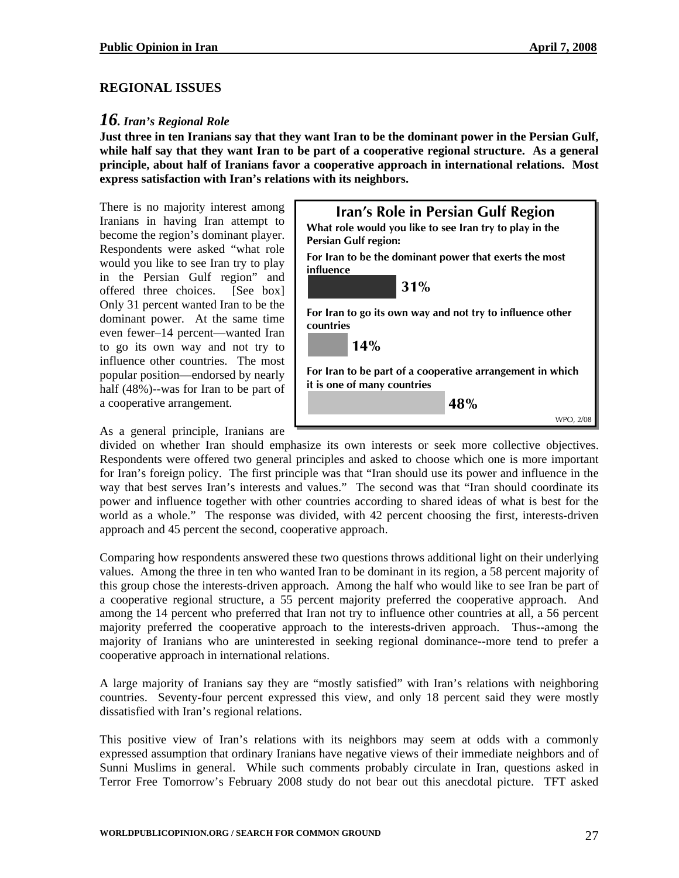#### **REGIONAL ISSUES**

#### *16. Iran's Regional Role*

**Just three in ten Iranians say that they want Iran to be the dominant power in the Persian Gulf, while half say that they want Iran to be part of a cooperative regional structure. As a general principle, about half of Iranians favor a cooperative approach in international relations. Most express satisfaction with Iran's relations with its neighbors.** 

There is no majority interest among Iranians in having Iran attempt to become the region's dominant player. Respondents were asked "what role would you like to see Iran try to play in the Persian Gulf region" and offered three choices. [See box] Only 31 percent wanted Iran to be the dominant power. At the same time even fewer–14 percent—wanted Iran to go its own way and not try to influence other countries. The most popular position—endorsed by nearly half (48%)--was for Iran to be part of a cooperative arrangement.



As a general principle, Iranians are

divided on whether Iran should emphasize its own interests or seek more collective objectives. Respondents were offered two general principles and asked to choose which one is more important for Iran's foreign policy. The first principle was that "Iran should use its power and influence in the way that best serves Iran's interests and values." The second was that "Iran should coordinate its power and influence together with other countries according to shared ideas of what is best for the world as a whole." The response was divided, with 42 percent choosing the first, interests-driven approach and 45 percent the second, cooperative approach.

Comparing how respondents answered these two questions throws additional light on their underlying values. Among the three in ten who wanted Iran to be dominant in its region, a 58 percent majority of this group chose the interests-driven approach. Among the half who would like to see Iran be part of a cooperative regional structure, a 55 percent majority preferred the cooperative approach. And among the 14 percent who preferred that Iran not try to influence other countries at all, a 56 percent majority preferred the cooperative approach to the interests-driven approach. Thus--among the majority of Iranians who are uninterested in seeking regional dominance--more tend to prefer a cooperative approach in international relations.

A large majority of Iranians say they are "mostly satisfied" with Iran's relations with neighboring countries. Seventy-four percent expressed this view, and only 18 percent said they were mostly dissatisfied with Iran's regional relations.

This positive view of Iran's relations with its neighbors may seem at odds with a commonly expressed assumption that ordinary Iranians have negative views of their immediate neighbors and of Sunni Muslims in general. While such comments probably circulate in Iran, questions asked in Terror Free Tomorrow's February 2008 study do not bear out this anecdotal picture. TFT asked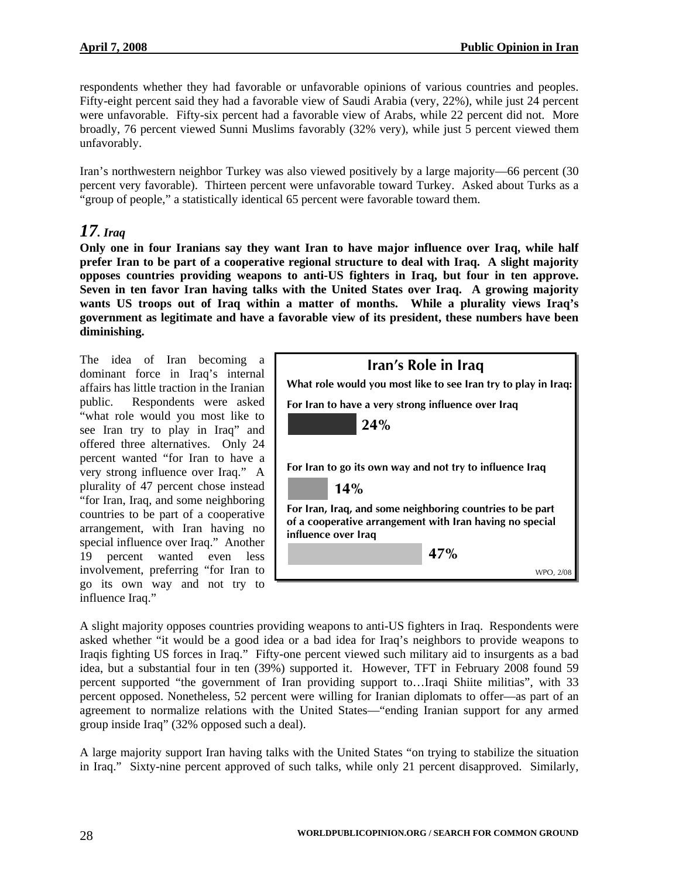respondents whether they had favorable or unfavorable opinions of various countries and peoples. Fifty-eight percent said they had a favorable view of Saudi Arabia (very, 22%), while just 24 percent were unfavorable. Fifty-six percent had a favorable view of Arabs, while 22 percent did not. More broadly, 76 percent viewed Sunni Muslims favorably (32% very), while just  $\bar{5}$  percent viewed them unfavorably.

Iran's northwestern neighbor Turkey was also viewed positively by a large majority—66 percent (30 percent very favorable). Thirteen percent were unfavorable toward Turkey. Asked about Turks as a "group of people," a statistically identical 65 percent were favorable toward them.

# *17. Iraq*

**Only one in four Iranians say they want Iran to have major influence over Iraq, while half prefer Iran to be part of a cooperative regional structure to deal with Iraq. A slight majority opposes countries providing weapons to anti-US fighters in Iraq, but four in ten approve. Seven in ten favor Iran having talks with the United States over Iraq. A growing majority wants US troops out of Iraq within a matter of months. While a plurality views Iraq's government as legitimate and have a favorable view of its president, these numbers have been diminishing.** 

The idea of Iran becoming a dominant force in Iraq's internal affairs has little traction in the Iranian public. Respondents were asked "what role would you most like to see Iran try to play in Iraq" and offered three alternatives. Only 24 percent wanted "for Iran to have a very strong influence over Iraq." A plurality of 47 percent chose instead "for Iran, Iraq, and some neighboring countries to be part of a cooperative arrangement, with Iran having no special influence over Iraq." Another 19 percent wanted even less involvement, preferring "for Iran to go its own way and not try to influence Iraq."

| Iran's Role in Iraq<br>What role would you most like to see Iran try to play in Iraq:                                                        |  |  |
|----------------------------------------------------------------------------------------------------------------------------------------------|--|--|
| For Iran to have a very strong influence over Iraq<br>24%                                                                                    |  |  |
| For Iran to go its own way and not try to influence Iraq<br>14%                                                                              |  |  |
| For Iran, Iraq, and some neighboring countries to be part<br>of a cooperative arrangement with Iran having no special<br>influence over Iraq |  |  |
| 47%                                                                                                                                          |  |  |
| WPO, 2/                                                                                                                                      |  |  |

A slight majority opposes countries providing weapons to anti-US fighters in Iraq. Respondents were asked whether "it would be a good idea or a bad idea for Iraq's neighbors to provide weapons to Iraqis fighting US forces in Iraq." Fifty-one percent viewed such military aid to insurgents as a bad idea, but a substantial four in ten (39%) supported it. However, TFT in February 2008 found 59 percent supported "the government of Iran providing support to…Iraqi Shiite militias", with 33 percent opposed. Nonetheless, 52 percent were willing for Iranian diplomats to offer—as part of an agreement to normalize relations with the United States—"ending Iranian support for any armed group inside Iraq" (32% opposed such a deal).

A large majority support Iran having talks with the United States "on trying to stabilize the situation in Iraq." Sixty-nine percent approved of such talks, while only 21 percent disapproved. Similarly,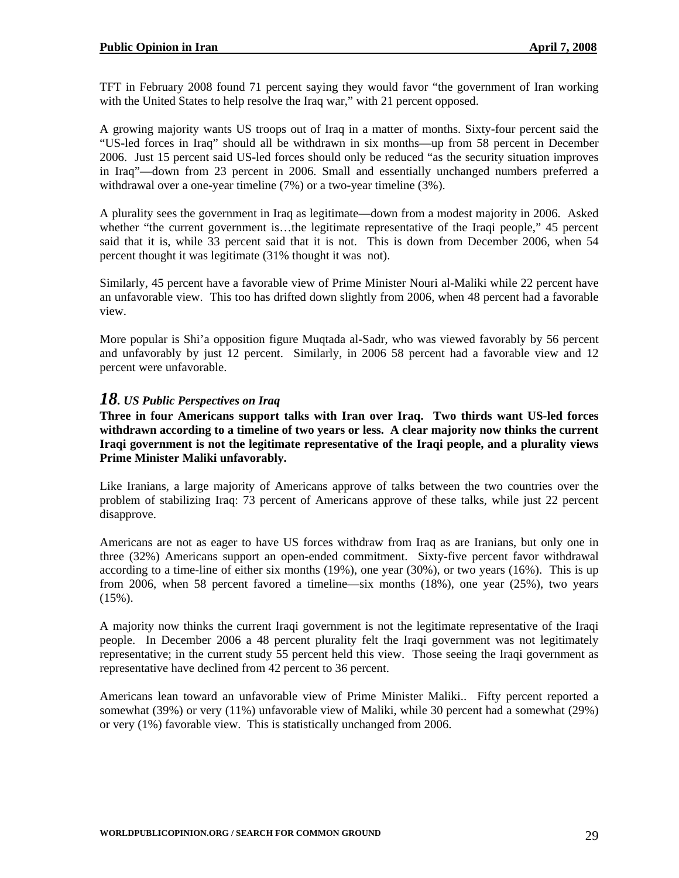TFT in February 2008 found 71 percent saying they would favor "the government of Iran working with the United States to help resolve the Iraq war," with 21 percent opposed.

A growing majority wants US troops out of Iraq in a matter of months. Sixty-four percent said the "US-led forces in Iraq" should all be withdrawn in six months—up from 58 percent in December 2006. Just 15 percent said US-led forces should only be reduced "as the security situation improves in Iraq"—down from 23 percent in 2006. Small and essentially unchanged numbers preferred a withdrawal over a one-year timeline (7%) or a two-year timeline (3%).

A plurality sees the government in Iraq as legitimate—down from a modest majority in 2006. Asked whether "the current government is...the legitimate representative of the Iraqi people," 45 percent said that it is, while 33 percent said that it is not. This is down from December 2006, when 54 percent thought it was legitimate (31% thought it was not).

Similarly, 45 percent have a favorable view of Prime Minister Nouri al-Maliki while 22 percent have an unfavorable view. This too has drifted down slightly from 2006, when 48 percent had a favorable view.

More popular is Shi'a opposition figure Muqtada al-Sadr, who was viewed favorably by 56 percent and unfavorably by just 12 percent. Similarly, in 2006 58 percent had a favorable view and 12 percent were unfavorable.

#### *18. US Public Perspectives on Iraq*

**Three in four Americans support talks with Iran over Iraq. Two thirds want US-led forces withdrawn according to a timeline of two years or less. A clear majority now thinks the current Iraqi government is not the legitimate representative of the Iraqi people, and a plurality views Prime Minister Maliki unfavorably.** 

Like Iranians, a large majority of Americans approve of talks between the two countries over the problem of stabilizing Iraq: 73 percent of Americans approve of these talks, while just 22 percent disapprove.

Americans are not as eager to have US forces withdraw from Iraq as are Iranians, but only one in three (32%) Americans support an open-ended commitment. Sixty-five percent favor withdrawal according to a time-line of either six months (19%), one year (30%), or two years (16%). This is up from 2006, when 58 percent favored a timeline—six months (18%), one year (25%), two years  $(15\%)$ .

A majority now thinks the current Iraqi government is not the legitimate representative of the Iraqi people. In December 2006 a 48 percent plurality felt the Iraqi government was not legitimately representative; in the current study 55 percent held this view. Those seeing the Iraqi government as representative have declined from 42 percent to 36 percent.

Americans lean toward an unfavorable view of Prime Minister Maliki.. Fifty percent reported a somewhat (39%) or very (11%) unfavorable view of Maliki, while 30 percent had a somewhat (29%) or very (1%) favorable view. This is statistically unchanged from 2006.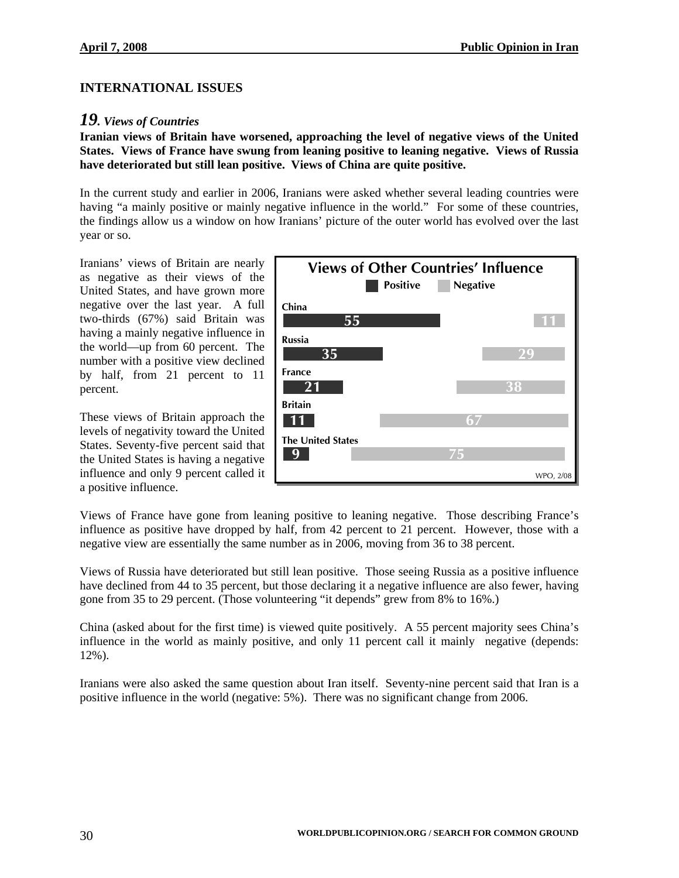#### **INTERNATIONAL ISSUES**

#### *19. Views of Countries*

**Iranian views of Britain have worsened, approaching the level of negative views of the United States. Views of France have swung from leaning positive to leaning negative. Views of Russia have deteriorated but still lean positive. Views of China are quite positive.** 

In the current study and earlier in 2006, Iranians were asked whether several leading countries were having "a mainly positive or mainly negative influence in the world." For some of these countries, the findings allow us a window on how Iranians' picture of the outer world has evolved over the last year or so.

Iranians' views of Britain are nearly as negative as their views of the United States, and have grown more negative over the last year. A full two-thirds (67%) said Britain was having a mainly negative influence in the world—up from 60 percent. The number with a positive view declined by half, from 21 percent to 11 percent.

These views of Britain approach the levels of negativity toward the United States. Seventy-five percent said that the United States is having a negative influence and only 9 percent called it a positive influence.



Views of France have gone from leaning positive to leaning negative. Those describing France's influence as positive have dropped by half, from 42 percent to 21 percent. However, those with a negative view are essentially the same number as in 2006, moving from 36 to 38 percent.

Views of Russia have deteriorated but still lean positive. Those seeing Russia as a positive influence have declined from 44 to 35 percent, but those declaring it a negative influence are also fewer, having gone from 35 to 29 percent. (Those volunteering "it depends" grew from 8% to 16%.)

China (asked about for the first time) is viewed quite positively. A 55 percent majority sees China's influence in the world as mainly positive, and only 11 percent call it mainly negative (depends: 12%).

Iranians were also asked the same question about Iran itself. Seventy-nine percent said that Iran is a positive influence in the world (negative: 5%). There was no significant change from 2006.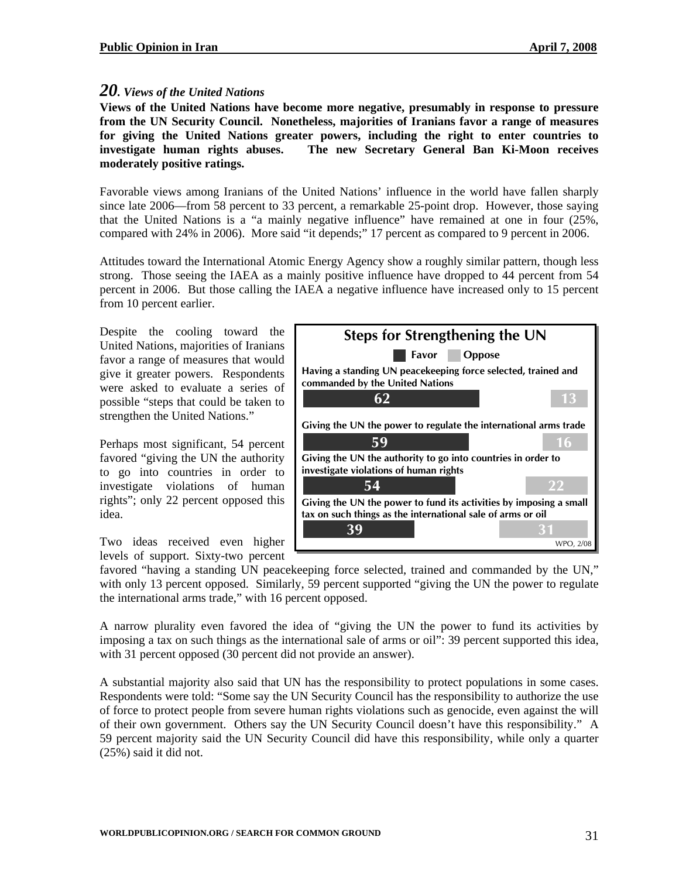#### *20. Views of the United Nations*

**Views of the United Nations have become more negative, presumably in response to pressure from the UN Security Council. Nonetheless, majorities of Iranians favor a range of measures for giving the United Nations greater powers, including the right to enter countries to investigate human rights abuses. The new Secretary General Ban Ki-Moon receives moderately positive ratings.** 

Favorable views among Iranians of the United Nations' influence in the world have fallen sharply since late 2006—from 58 percent to 33 percent, a remarkable 25-point drop. However, those saying that the United Nations is a "a mainly negative influence" have remained at one in four (25%, compared with 24% in 2006). More said "it depends;" 17 percent as compared to 9 percent in 2006.

Attitudes toward the International Atomic Energy Agency show a roughly similar pattern, though less strong. Those seeing the IAEA as a mainly positive influence have dropped to 44 percent from 54 percent in 2006. But those calling the IAEA a negative influence have increased only to 15 percent from 10 percent earlier.

Despite the cooling toward the United Nations, majorities of Iranians favor a range of measures that would give it greater powers. Respondents were asked to evaluate a series of possible "steps that could be taken to strengthen the United Nations."

Perhaps most significant, 54 percent favored "giving the UN the authority to go into countries in order to investigate violations of human rights"; only 22 percent opposed this idea.

Two ideas received even higher levels of support. Sixty-two percent



favored "having a standing UN peacekeeping force selected, trained and commanded by the UN," with only 13 percent opposed. Similarly, 59 percent supported "giving the UN the power to regulate the international arms trade," with 16 percent opposed.

A narrow plurality even favored the idea of "giving the UN the power to fund its activities by imposing a tax on such things as the international sale of arms or oil": 39 percent supported this idea, with 31 percent opposed (30 percent did not provide an answer).

A substantial majority also said that UN has the responsibility to protect populations in some cases. Respondents were told: "Some say the UN Security Council has the responsibility to authorize the use of force to protect people from severe human rights violations such as genocide, even against the will of their own government. Others say the UN Security Council doesn't have this responsibility." A 59 percent majority said the UN Security Council did have this responsibility, while only a quarter (25%) said it did not.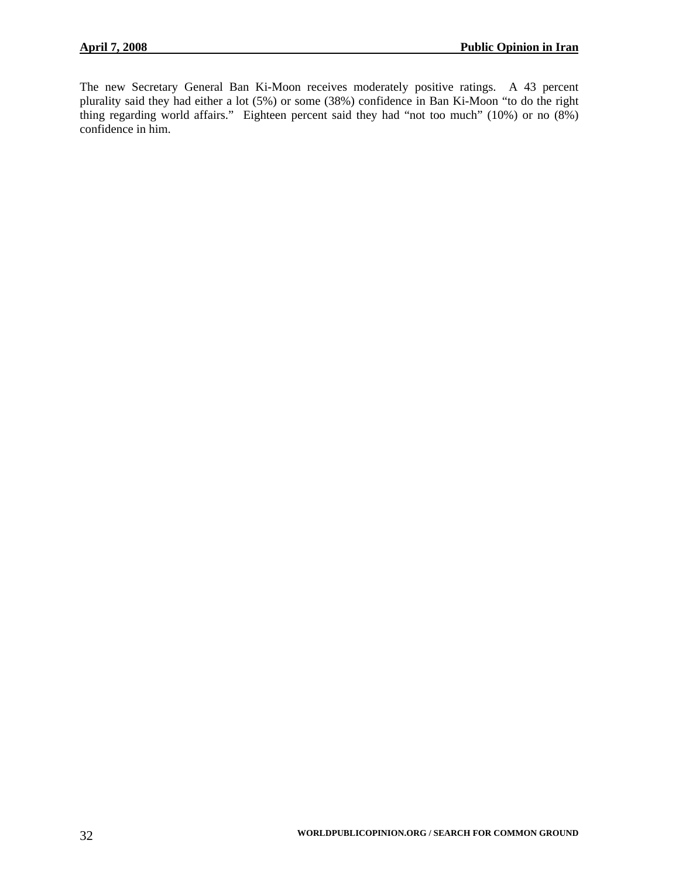The new Secretary General Ban Ki-Moon receives moderately positive ratings. A 43 percent plurality said they had either a lot (5%) or some (38%) confidence in Ban Ki-Moon "to do the right thing regarding world affairs." Eighteen percent said they had "not too much" (10%) or no (8%) confidence in him.